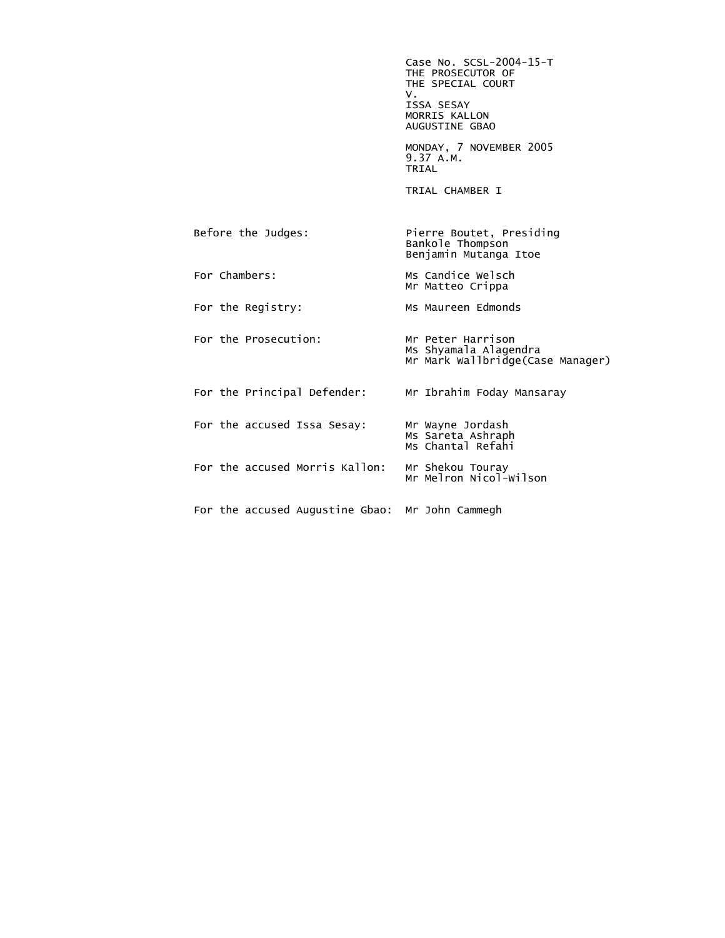Case No. SCSL-2004-15-T THE PROSECUTOR OF THE SPECIAL COURT<br>V. V. ISSA SESAY MORRIS KALLON AUGUSTINE GBAO MONDAY, 7 NOVEMBER 2005 9.37 A.M. **TRIAL**  TRIAL CHAMBER I Before the Judges: Pierre Boutet, Presiding Bankole Thompson Benjamin Mutanga Itoe For Chambers: Ms Candice Welsch Mr Matteo Crippa For the Registry: MS Maureen Edmonds For the Prosecution: Mr Peter Harrison Ms Shyamala Alagendra Mr Mark Wallbridge(Case Manager) For the Principal Defender: Mr Ibrahim Foday Mansaray For the accused Issa Sesay: Mr Wayne Jordash Ms Sareta Ashraph Ms Chantal Refahi مستخدم المستخدم المستخدم المستخدم المستخدم المستخدم المستخدم المستخدم المستخدم المستخدم المس For the accused Morris Kallon: Mr Shekou Touray Mr Melron Nicol-Wilson For the accused Augustine Gbao: Mr John Cammegh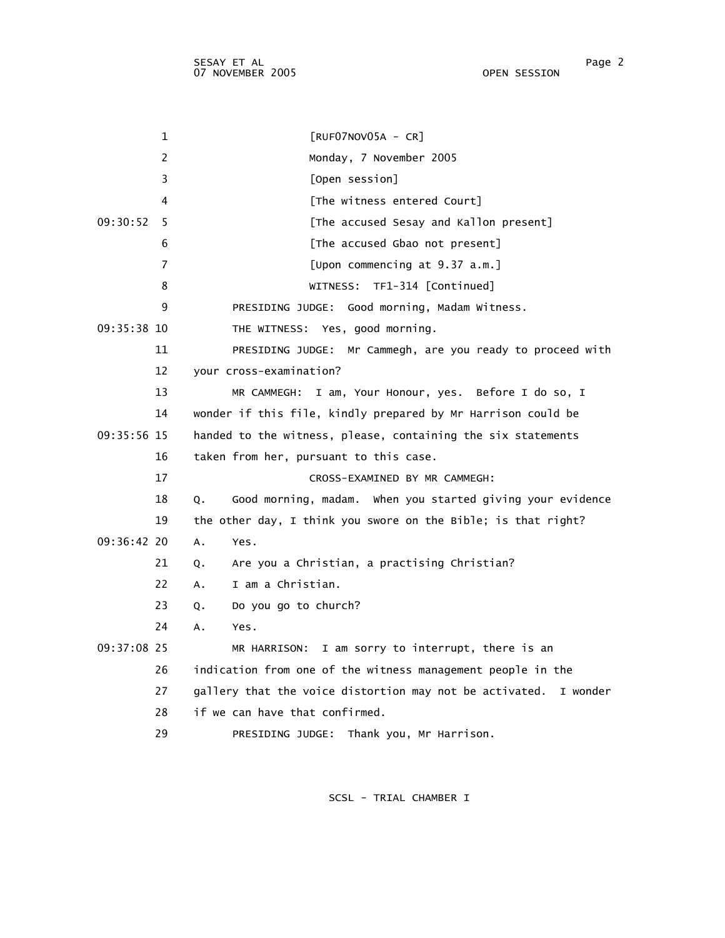| 1             | $[RUF07NOV05A - CR]$                                             |
|---------------|------------------------------------------------------------------|
| 2             | Monday, 7 November 2005                                          |
| 3             | [Open session]                                                   |
| 4             | [The witness entered Court]                                      |
| 09:30:52<br>5 | [The accused Sesay and Kallon present]                           |
| 6             | [The accused Gbao not present]                                   |
| 7             | [Upon commencing at 9.37 a.m.]                                   |
| 8             | TF1-314 [Continued]<br>WITNESS:                                  |
| 9             | PRESIDING JUDGE: Good morning, Madam Witness.                    |
| 09:35:38 10   | THE WITNESS: Yes, good morning.                                  |
| 11            | PRESIDING JUDGE: Mr Cammegh, are you ready to proceed with       |
| 12            | your cross-examination?                                          |
| 13            | MR CAMMEGH: I am, Your Honour, yes. Before I do so, I            |
| 14            | wonder if this file, kindly prepared by Mr Harrison could be     |
| $09:35:56$ 15 | handed to the witness, please, containing the six statements     |
| 16            | taken from her, pursuant to this case.                           |
| 17            | CROSS-EXAMINED BY MR CAMMEGH:                                    |
| 18            | Good morning, madam. When you started giving your evidence<br>Q. |
| 19            | the other day, I think you swore on the Bible; is that right?    |
| 09:36:42 20   | A.<br>Yes.                                                       |
| 21            | Are you a Christian, a practising Christian?<br>Q.               |
| 22            | I am a Christian.<br>A.                                          |
| 23            | Do you go to church?<br>Q.                                       |
| 24            | Α.<br>Yes.                                                       |
| 09:37:08 25   | I am sorry to interrupt, there is an<br>MR HARRISON:             |
| 26            | indication from one of the witness management people in the      |
| 27            | gallery that the voice distortion may not be activated. I wonder |
| 28            | if we can have that confirmed.                                   |
| 29            | PRESIDING JUDGE: Thank you, Mr Harrison.                         |
|               |                                                                  |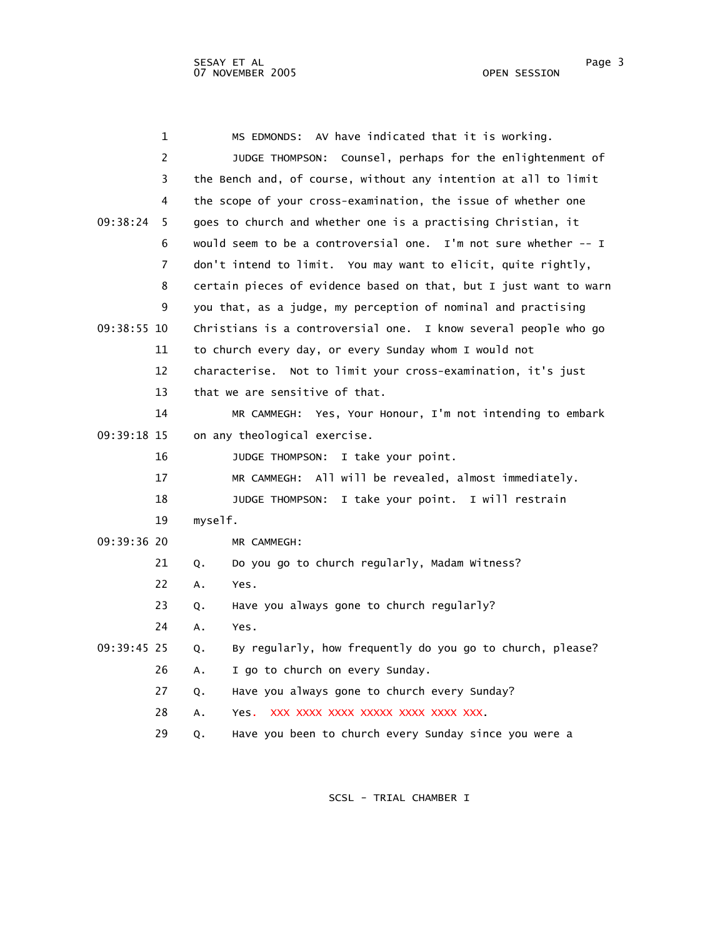|             | 1              |            | AV have indicated that it is working.<br>MS EDMONDS:              |
|-------------|----------------|------------|-------------------------------------------------------------------|
|             | $\overline{2}$ |            | JUDGE THOMPSON: Counsel, perhaps for the enlightenment of         |
|             | 3              |            | the Bench and, of course, without any intention at all to limit   |
|             | 4              |            | the scope of your cross-examination, the issue of whether one     |
| 09:38:24    | 5              |            | goes to church and whether one is a practising Christian, it      |
|             | 6              |            | would seem to be a controversial one. I'm not sure whether -- I   |
|             | 7              |            | don't intend to limit. You may want to elicit, quite rightly,     |
|             | 8              |            | certain pieces of evidence based on that, but I just want to warn |
|             | 9              |            | you that, as a judge, my perception of nominal and practising     |
| 09:38:55 10 |                |            | Christians is a controversial one. I know several people who go   |
|             | 11             |            | to church every day, or every Sunday whom I would not             |
|             | 12             |            | characterise. Not to limit your cross-examination, it's just      |
|             | 13             |            | that we are sensitive of that.                                    |
|             | 14             |            | MR CAMMEGH: Yes, Your Honour, I'm not intending to embark         |
| 09:39:18 15 |                |            | on any theological exercise.                                      |
|             | 16             |            | I take your point.<br>JUDGE THOMPSON:                             |
|             | 17             |            | All will be revealed, almost immediately.<br>MR CAMMEGH:          |
|             | 18             |            | I take your point. I will restrain<br>JUDGE THOMPSON:             |
|             | 19             | myself.    |                                                                   |
| 09:39:36 20 |                |            | MR CAMMEGH:                                                       |
|             | 21             | Q.         | Do you go to church regularly, Madam Witness?                     |
|             | 22             | Α.<br>Yes. |                                                                   |
|             | 23             | Q.         | Have you always gone to church regularly?                         |
|             | 24             | Yes.<br>А. |                                                                   |
| 09:39:45 25 |                | Q.         | By regularly, how frequently do you go to church, please?         |
|             | 26             | Α.         | I go to church on every Sunday.                                   |
|             | 27             | Q.         | Have you always gone to church every Sunday?                      |
|             | 28             | Α.         | Yes. XXX XXXX XXXX XXXXX XXXX XXXX XXX.                           |
|             | 29             | Q.         | Have you been to church every Sunday since you were a             |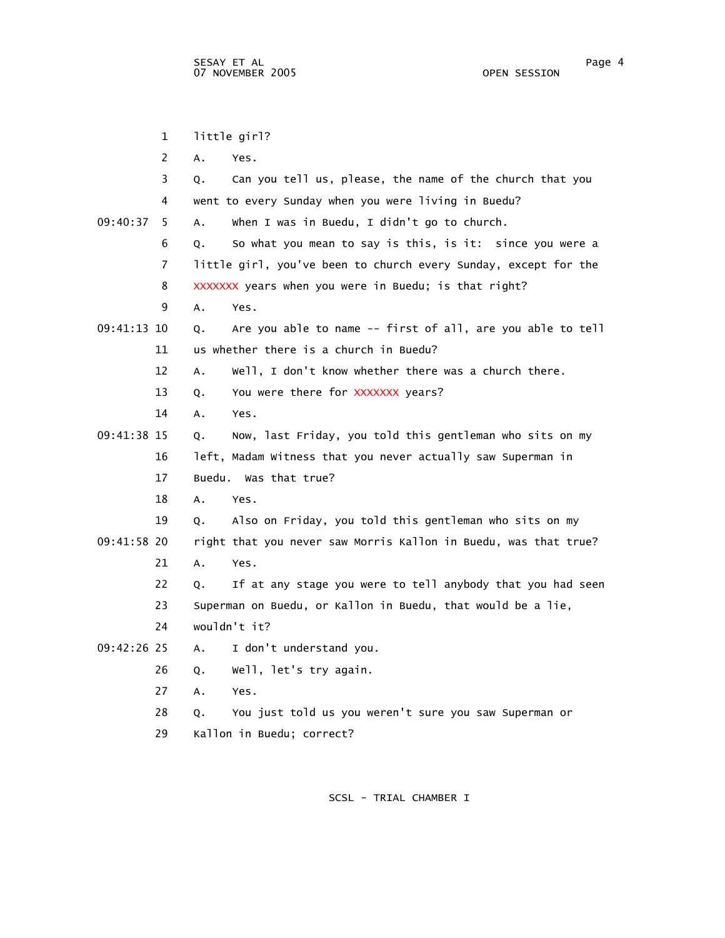1 little girl? 2 A. Yes. 3 Q. Can you tell us, please, the name of the church that you 4 went to every Sunday when you were living in Buedu? 09:40:37 5 A. When I was in Buedu, I didn't go to church. 6 Q. So what you mean to say is this, is it: since you were a 7 little girl, you've been to church every Sunday, except for the 8 XXXXXXX years when you were in Buedu; is that right? 9 A. Yes. 09:41:13 10 Q. Are you able to name -- first of all, are you able to tell 11 us whether there is a church in Buedu? 12 A. Well, I don't know whether there was a church there. 13 Q. You were there for XXXXXXX years? 14 A. Yes. 09:41:38 15 Q. Now, last Friday, you told this gentleman who sits on my 16 left, Madam Witness that you never actually saw Superman in 17 Buedu. Was that true? 18 A. Yes. 19 Q. Also on Friday, you told this gentleman who sits on my 09:41:58 20 right that you never saw Morris Kallon in Buedu, was that true? 21 A. Yes. 22 Q. If at any stage you were to tell anybody that you had seen 23 Superman on Buedu, or Kallon in Buedu, that would be a lie, 24 wouldn't it? 09:42:26 25 A. I don't understand you. 26 Q. Well, let's try again. 27 A. Yes. 28 Q. You just told us you weren't sure you saw Superman or 29 Kallon in Buedu; correct?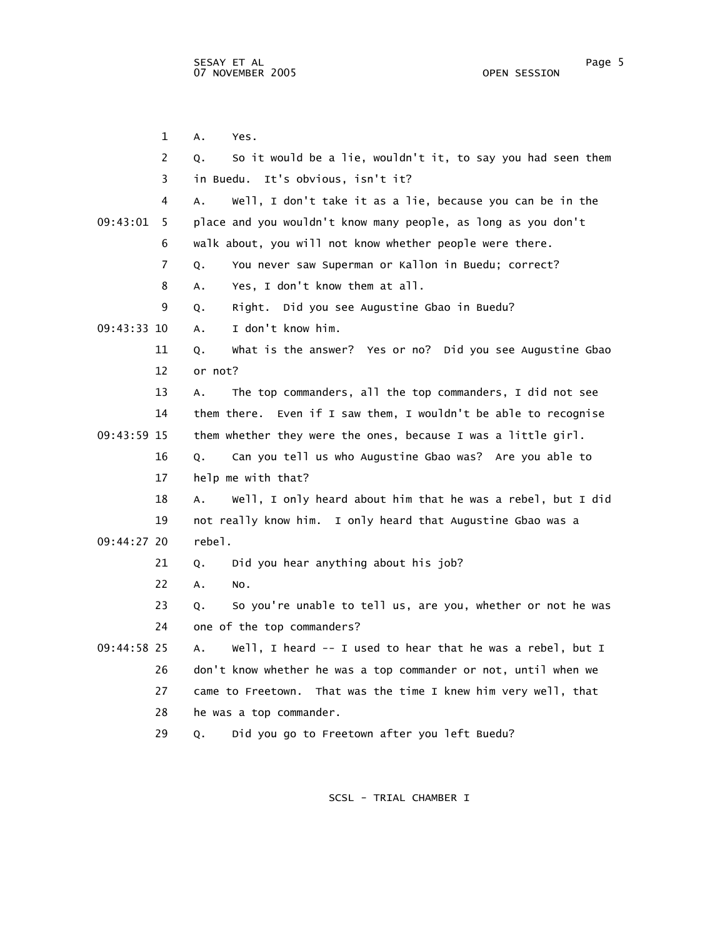1 A. Yes. 2 Q. So it would be a lie, wouldn't it, to say you had seen them 3 in Buedu. It's obvious, isn't it? 4 A. Well, I don't take it as a lie, because you can be in the 09:43:01 5 place and you wouldn't know many people, as long as you don't 6 walk about, you will not know whether people were there. 7 Q. You never saw Superman or Kallon in Buedu; correct? 8 A. Yes, I don't know them at all. 9 Q. Right. Did you see Augustine Gbao in Buedu? 09:43:33 10 A. I don't know him. 11 Q. What is the answer? Yes or no? Did you see Augustine Gbao 12 or not? 13 A. The top commanders, all the top commanders, I did not see 14 them there. Even if I saw them, I wouldn't be able to recognise 09:43:59 15 them whether they were the ones, because I was a little girl. 16 Q. Can you tell us who Augustine Gbao was? Are you able to 17 help me with that? 18 A. Well, I only heard about him that he was a rebel, but I did 19 not really know him. I only heard that Augustine Gbao was a 09:44:27 20 rebel. 21 Q. Did you hear anything about his job? 22 A. No. 23 Q. So you're unable to tell us, are you, whether or not he was 24 one of the top commanders? 09:44:58 25 A. Well, I heard -- I used to hear that he was a rebel, but I 26 don't know whether he was a top commander or not, until when we 27 came to Freetown. That was the time I knew him very well, that 28 he was a top commander. 29 Q. Did you go to Freetown after you left Buedu?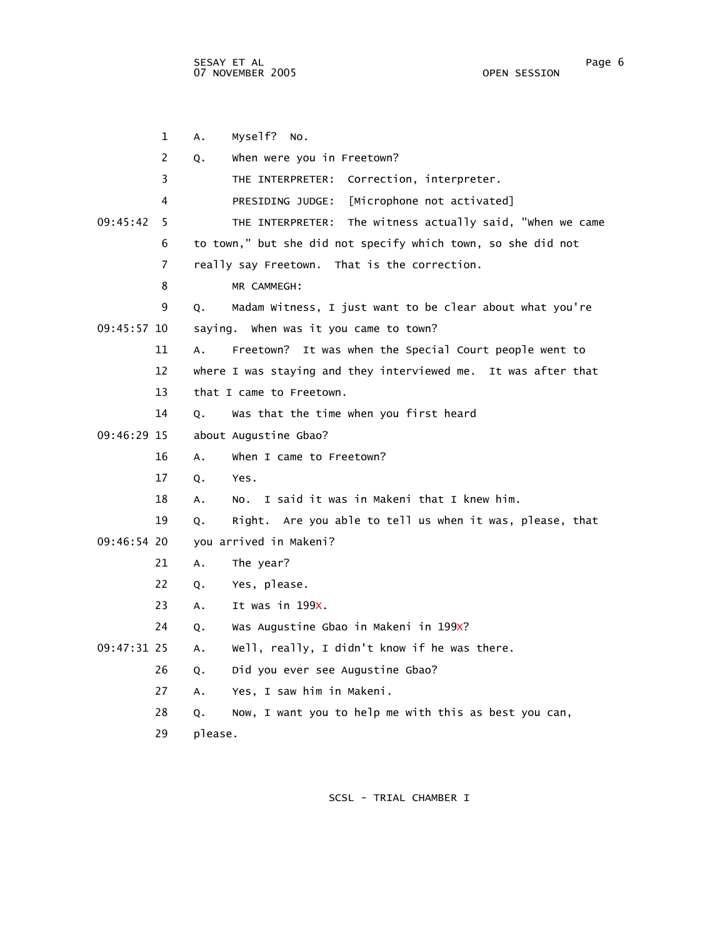1 A. Myself? No. 2 Q. When were you in Freetown? 3 THE INTERPRETER: Correction, interpreter. 4 PRESIDING JUDGE: [Microphone not activated] 09:45:42 5 THE INTERPRETER: The witness actually said, "When we came 6 to town," but she did not specify which town, so she did not 7 really say Freetown. That is the correction. 8 MR CAMMEGH: 9 Q. Madam Witness, I just want to be clear about what you're 09:45:57 10 saying. When was it you came to town? 11 A. Freetown? It was when the Special Court people went to 12 where I was staying and they interviewed me. It was after that 13 that I came to Freetown. 14 Q. Was that the time when you first heard 09:46:29 15 about Augustine Gbao? 16 A. When I came to Freetown? 17 Q. Yes. 18 A. No. I said it was in Makeni that I knew him. 19 Q. Right. Are you able to tell us when it was, please, that 09:46:54 20 you arrived in Makeni? 21 A. The year? 22 Q. Yes, please. 23 A. It was in 199X. 24 Q. Was Augustine Gbao in Makeni in 199X? 09:47:31 25 A. Well, really, I didn't know if he was there. 26 Q. Did you ever see Augustine Gbao? 27 A. Yes, I saw him in Makeni. 28 Q. Now, I want you to help me with this as best you can, 29 please.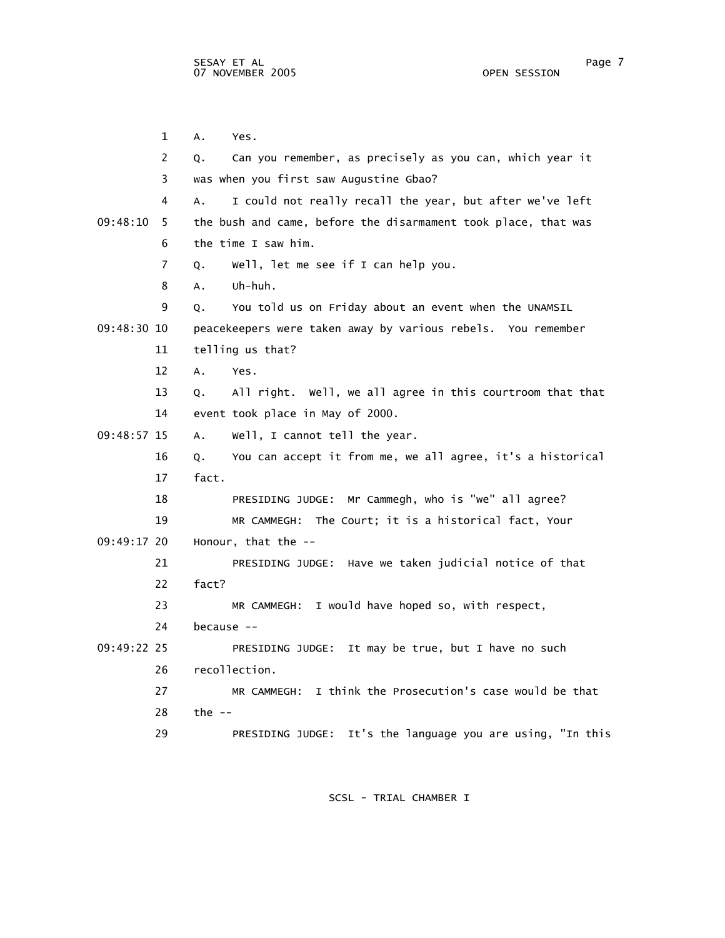1 A. Yes. 2 Q. Can you remember, as precisely as you can, which year it 3 was when you first saw Augustine Gbao? 4 A. I could not really recall the year, but after we've left 09:48:10 5 the bush and came, before the disarmament took place, that was 6 the time I saw him. 7 Q. Well, let me see if I can help you. 8 A. Uh-huh. 9 Q. You told us on Friday about an event when the UNAMSIL 09:48:30 10 peacekeepers were taken away by various rebels. You remember 11 telling us that? 12 A. Yes. 13 Q. All right. Well, we all agree in this courtroom that that 14 event took place in May of 2000. 09:48:57 15 A. Well, I cannot tell the year. 16 Q. You can accept it from me, we all agree, it's a historical 17 fact. 18 PRESIDING JUDGE: Mr Cammegh, who is "we" all agree? 19 MR CAMMEGH: The Court; it is a historical fact, Your 09:49:17 20 Honour, that the -- 21 PRESIDING JUDGE: Have we taken judicial notice of that 22 fact? 23 MR CAMMEGH: I would have hoped so, with respect, 24 because -- 09:49:22 25 PRESIDING JUDGE: It may be true, but I have no such 26 recollection. 27 MR CAMMEGH: I think the Prosecution's case would be that 28 the -- 29 PRESIDING JUDGE: It's the language you are using, "In this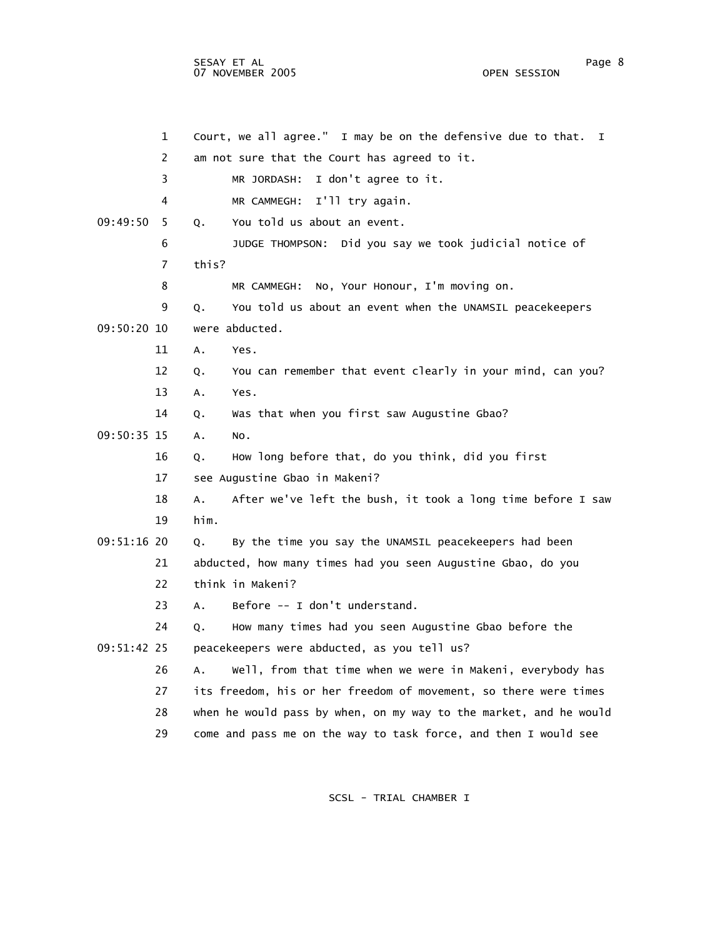1 Court, we all agree." I may be on the defensive due to that. I 2 am not sure that the Court has agreed to it. 3 MR JORDASH: I don't agree to it. 4 MR CAMMEGH: I'll try again. 09:49:50 5 Q. You told us about an event. 6 JUDGE THOMPSON: Did you say we took judicial notice of 7 this? 8 MR CAMMEGH: No, Your Honour, I'm moving on. 9 Q. You told us about an event when the UNAMSIL peacekeepers 09:50:20 10 were abducted. 11 A. Yes. 12 Q. You can remember that event clearly in your mind, can you? 13 A. Yes. 14 Q. Was that when you first saw Augustine Gbao? 09:50:35 15 A. No. 16 Q. How long before that, do you think, did you first 17 see Augustine Gbao in Makeni? 18 A. After we've left the bush, it took a long time before I saw 19 him. 09:51:16 20 Q. By the time you say the UNAMSIL peacekeepers had been 21 abducted, how many times had you seen Augustine Gbao, do you 22 think in Makeni? 23 A. Before -- I don't understand. 24 Q. How many times had you seen Augustine Gbao before the 09:51:42 25 peacekeepers were abducted, as you tell us? 26 A. Well, from that time when we were in Makeni, everybody has 27 its freedom, his or her freedom of movement, so there were times 28 when he would pass by when, on my way to the market, and he would 29 come and pass me on the way to task force, and then I would see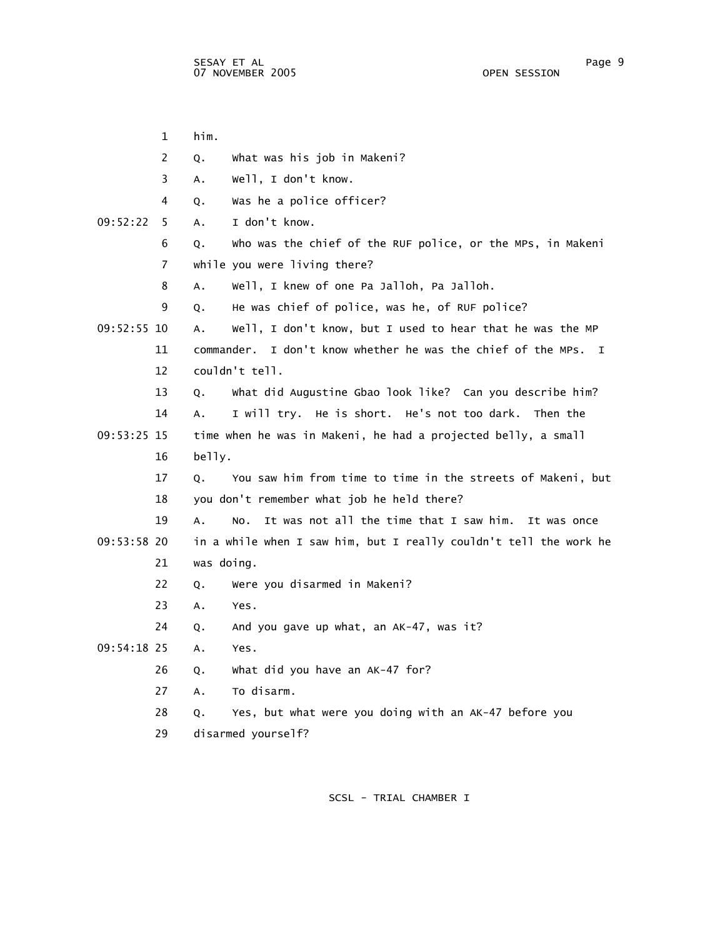|             | 1  | him.       |                                                                   |
|-------------|----|------------|-------------------------------------------------------------------|
|             | 2  | Q.         | What was his job in Makeni?                                       |
|             | 3  | Α.         | well, I don't know.                                               |
|             | 4  | Q.         | Was he a police officer?                                          |
| 09:52:22    | 5  | Α.         | I don't know.                                                     |
|             | 6  | Q.         | Who was the chief of the RUF police, or the MPs, in Makeni        |
|             | 7  |            | while you were living there?                                      |
|             | 8  | Α.         | Well, I knew of one Pa Jalloh, Pa Jalloh.                         |
|             | 9  | Q.         | He was chief of police, was he, of RUF police?                    |
| 09:52:55 10 |    | А.         | Well, I don't know, but I used to hear that he was the MP         |
|             | 11 |            | commander. I don't know whether he was the chief of the MPs. I    |
|             | 12 |            | couldn't tell.                                                    |
|             | 13 | Q.         | What did Augustine Gbao look like? Can you describe him?          |
|             | 14 | А.         | I will try. He is short. He's not too dark. Then the              |
| 09:53:25 15 |    |            | time when he was in Makeni, he had a projected belly, a small     |
|             | 16 | belly.     |                                                                   |
|             | 17 | 0.         | You saw him from time to time in the streets of Makeni, but       |
|             | 18 |            | you don't remember what job he held there?                        |
|             | 19 | А.         | It was not all the time that I saw him.<br>It was once<br>NO.     |
| 09:53:58 20 |    |            | in a while when I saw him, but I really couldn't tell the work he |
|             | 21 | was doing. |                                                                   |
|             | 22 | Q.         | Were you disarmed in Makeni?                                      |
|             | 23 | Α.         | Yes.                                                              |
|             | 24 | Q.         | And you gave up what, an AK-47, was it?                           |
| 09:54:18 25 |    | А.         | Yes.                                                              |
|             | 26 | Q.         | What did you have an AK-47 for?                                   |
|             | 27 | Α.         | To disarm.                                                        |
|             | 28 | Q.         | Yes, but what were you doing with an AK-47 before you             |
|             | 29 |            | disarmed yourself?                                                |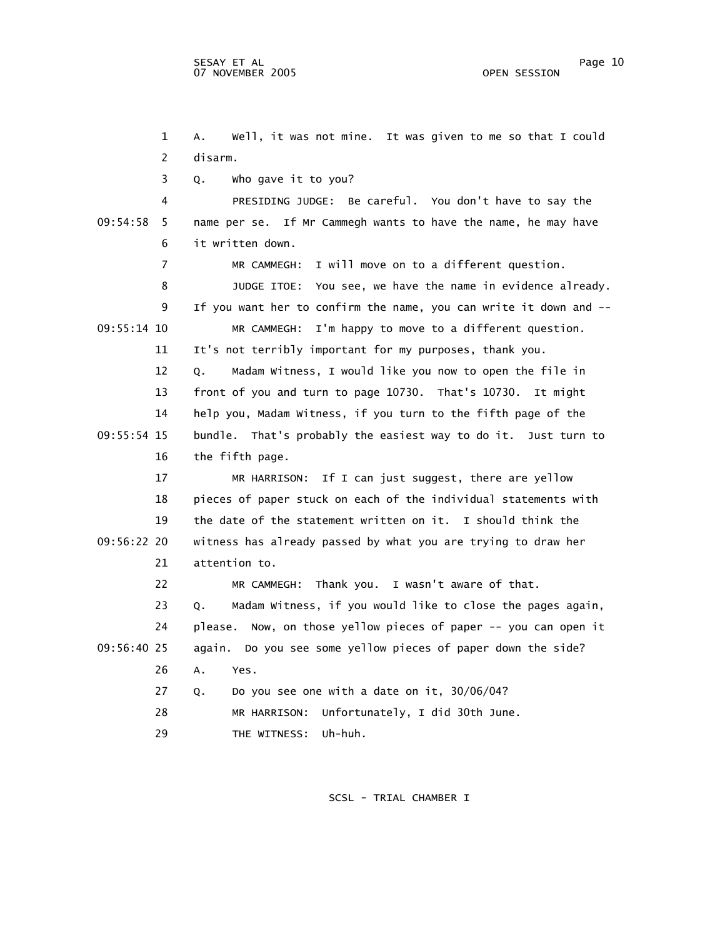1 A. Well, it was not mine. It was given to me so that I could 2 disarm. 3 Q. Who gave it to you? 4 PRESIDING JUDGE: Be careful. You don't have to say the 09:54:58 5 name per se. If Mr Cammegh wants to have the name, he may have 6 it written down. 7 MR CAMMEGH: I will move on to a different question. 8 JUDGE ITOE: You see, we have the name in evidence already. 9 If you want her to confirm the name, you can write it down and -- 09:55:14 10 MR CAMMEGH: I'm happy to move to a different question. 11 It's not terribly important for my purposes, thank you. 12 Q. Madam Witness, I would like you now to open the file in 13 front of you and turn to page 10730. That's 10730. It might 14 help you, Madam Witness, if you turn to the fifth page of the 09:55:54 15 bundle. That's probably the easiest way to do it. Just turn to 16 the fifth page. 17 MR HARRISON: If I can just suggest, there are yellow 18 pieces of paper stuck on each of the individual statements with 19 the date of the statement written on it. I should think the 09:56:22 20 witness has already passed by what you are trying to draw her 21 attention to. 22 MR CAMMEGH: Thank you. I wasn't aware of that. 23 Q. Madam Witness, if you would like to close the pages again, 24 please. Now, on those yellow pieces of paper -- you can open it 09:56:40 25 again. Do you see some yellow pieces of paper down the side? 26 A. Yes. 27 Q. Do you see one with a date on it, 30/06/04? 28 MR HARRISON: Unfortunately, I did 30th June. 29 THE WITNESS: Uh-huh.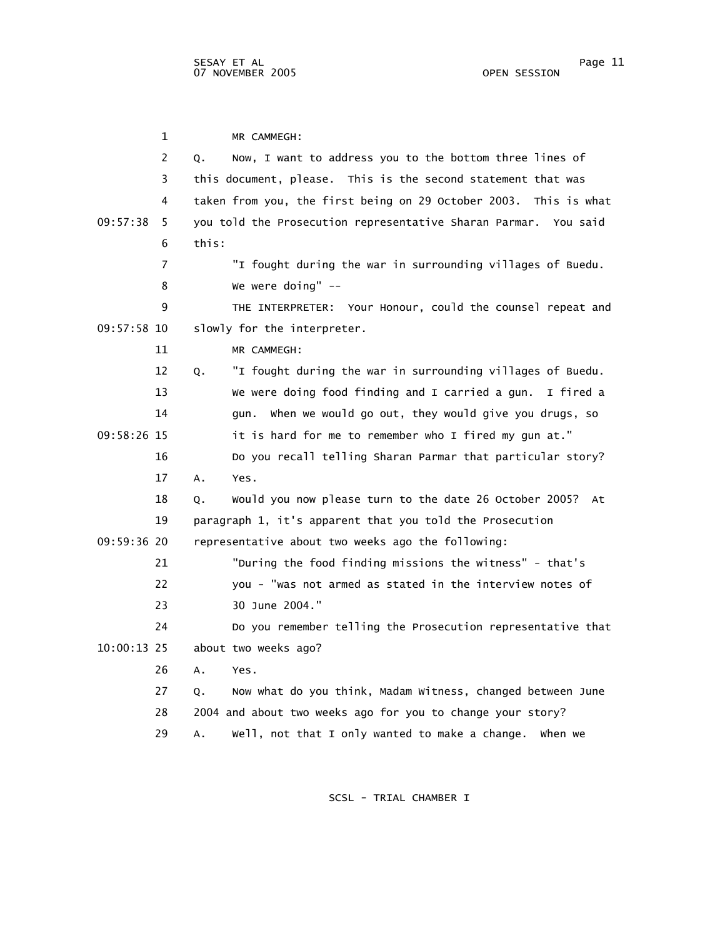1 MR CAMMEGH: 2 Q. Now, I want to address you to the bottom three lines of 3 this document, please. This is the second statement that was 4 taken from you, the first being on 29 October 2003. This is what 09:57:38 5 you told the Prosecution representative Sharan Parmar. You said 6 this: 7 "I fought during the war in surrounding villages of Buedu. 8 We were doing" -- 9 THE INTERPRETER: Your Honour, could the counsel repeat and 09:57:58 10 slowly for the interpreter. 11 MR CAMMEGH: 12 Q. "I fought during the war in surrounding villages of Buedu. 13 We were doing food finding and I carried a gun. I fired a 14 gun. When we would go out, they would give you drugs, so 09:58:26 15 it is hard for me to remember who I fired my gun at." 16 Do you recall telling Sharan Parmar that particular story? 17 A. Yes. 18 Q. Would you now please turn to the date 26 October 2005? At 19 paragraph 1, it's apparent that you told the Prosecution 09:59:36 20 representative about two weeks ago the following: 21 "During the food finding missions the witness" - that's 22 you - "was not armed as stated in the interview notes of 23 30 June 2004." 24 Do you remember telling the Prosecution representative that 10:00:13 25 about two weeks ago? 26 A. Yes. 27 Q. Now what do you think, Madam Witness, changed between June 28 2004 and about two weeks ago for you to change your story? 29 A. Well, not that I only wanted to make a change. When we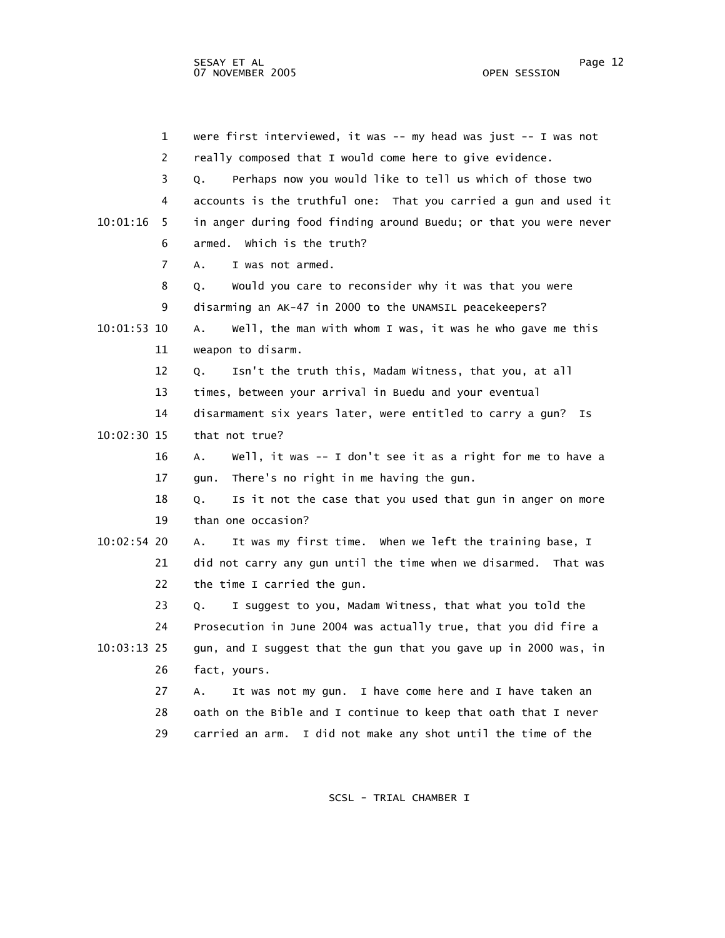1 were first interviewed, it was -- my head was just -- I was not 2 really composed that I would come here to give evidence. 3 Q. Perhaps now you would like to tell us which of those two 4 accounts is the truthful one: That you carried a gun and used it 10:01:16 5 in anger during food finding around Buedu; or that you were never 6 armed. Which is the truth? 7 A. I was not armed. 8 Q. Would you care to reconsider why it was that you were 9 disarming an AK-47 in 2000 to the UNAMSIL peacekeepers? 10:01:53 10 A. Well, the man with whom I was, it was he who gave me this 11 weapon to disarm. 12 Q. Isn't the truth this, Madam Witness, that you, at all 13 times, between your arrival in Buedu and your eventual 14 disarmament six years later, were entitled to carry a gun? Is 10:02:30 15 that not true? 16 A. Well, it was -- I don't see it as a right for me to have a 17 gun. There's no right in me having the gun. 18 Q. Is it not the case that you used that gun in anger on more 19 than one occasion? 10:02:54 20 A. It was my first time. When we left the training base, I 21 did not carry any gun until the time when we disarmed. That was 22 the time I carried the gun. 23 Q. I suggest to you, Madam Witness, that what you told the 24 Prosecution in June 2004 was actually true, that you did fire a 10:03:13 25 gun, and I suggest that the gun that you gave up in 2000 was, in 26 fact, yours. 27 A. It was not my gun. I have come here and I have taken an 28 oath on the Bible and I continue to keep that oath that I never 29 carried an arm. I did not make any shot until the time of the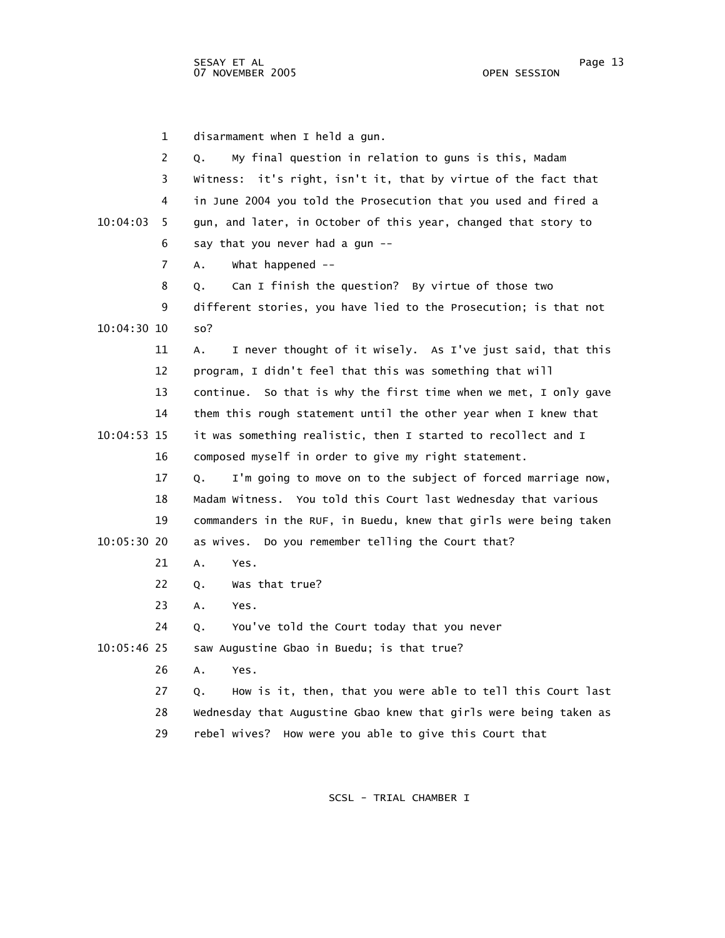1 disarmament when I held a gun. 2 Q. My final question in relation to guns is this, Madam 3 Witness: it's right, isn't it, that by virtue of the fact that 4 in June 2004 you told the Prosecution that you used and fired a 10:04:03 5 gun, and later, in October of this year, changed that story to 6 say that you never had a gun -- 7 A. What happened -- 8 Q. Can I finish the question? By virtue of those two 9 different stories, you have lied to the Prosecution; is that not 10:04:30 10 so? 11 A. I never thought of it wisely. As I've just said, that this 12 program, I didn't feel that this was something that will 13 continue. So that is why the first time when we met, I only gave 14 them this rough statement until the other year when I knew that 10:04:53 15 it was something realistic, then I started to recollect and I 16 composed myself in order to give my right statement. 17 Q. I'm going to move on to the subject of forced marriage now, 18 Madam Witness. You told this Court last Wednesday that various 19 commanders in the RUF, in Buedu, knew that girls were being taken 10:05:30 20 as wives. Do you remember telling the Court that? 21 A. Yes. 22 Q. Was that true? 23 A. Yes. 24 Q. You've told the Court today that you never 10:05:46 25 saw Augustine Gbao in Buedu; is that true? 26 A. Yes. 27 Q. How is it, then, that you were able to tell this Court last 28 Wednesday that Augustine Gbao knew that girls were being taken as 29 rebel wives? How were you able to give this Court that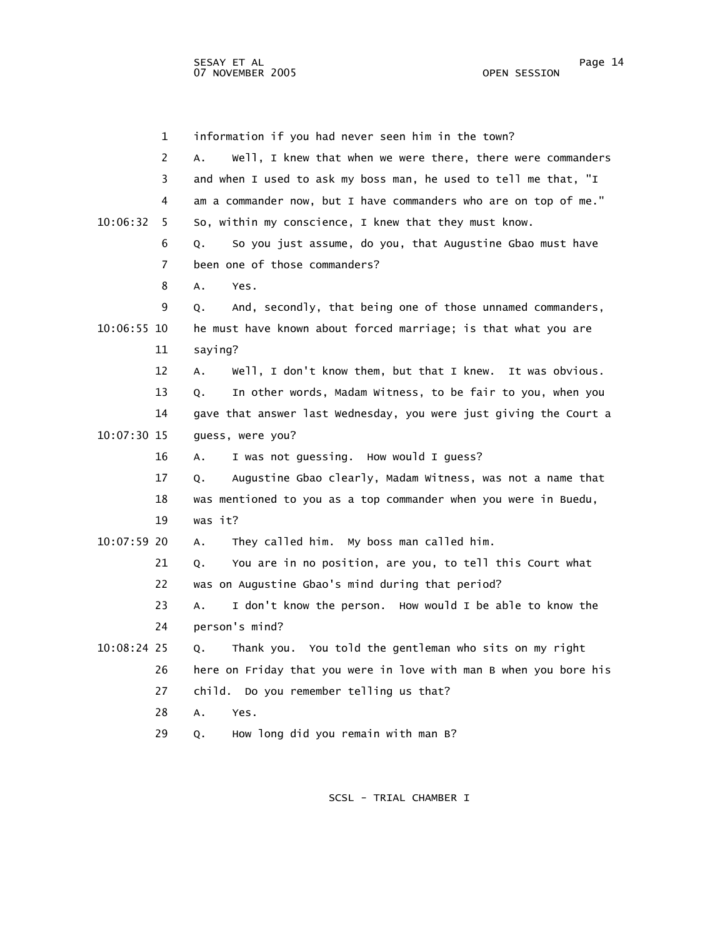1 information if you had never seen him in the town? 2 A. Well, I knew that when we were there, there were commanders 3 and when I used to ask my boss man, he used to tell me that, "I 4 am a commander now, but I have commanders who are on top of me." 10:06:32 5 So, within my conscience, I knew that they must know. 6 Q. So you just assume, do you, that Augustine Gbao must have 7 been one of those commanders? 8 A. Yes. 9 Q. And, secondly, that being one of those unnamed commanders, 10:06:55 10 he must have known about forced marriage; is that what you are 11 saying? 12 A. Well, I don't know them, but that I knew. It was obvious. 13 Q. In other words, Madam Witness, to be fair to you, when you 14 gave that answer last Wednesday, you were just giving the Court a 10:07:30 15 guess, were you? 16 A. I was not guessing. How would I guess? 17 Q. Augustine Gbao clearly, Madam Witness, was not a name that 18 was mentioned to you as a top commander when you were in Buedu, 19 was it? 10:07:59 20 A. They called him. My boss man called him. 21 Q. You are in no position, are you, to tell this Court what 22 was on Augustine Gbao's mind during that period? 23 A. I don't know the person. How would I be able to know the 24 person's mind? 10:08:24 25 Q. Thank you. You told the gentleman who sits on my right 26 here on Friday that you were in love with man B when you bore his 27 child. Do you remember telling us that? 28 A. Yes. 29 Q. How long did you remain with man B?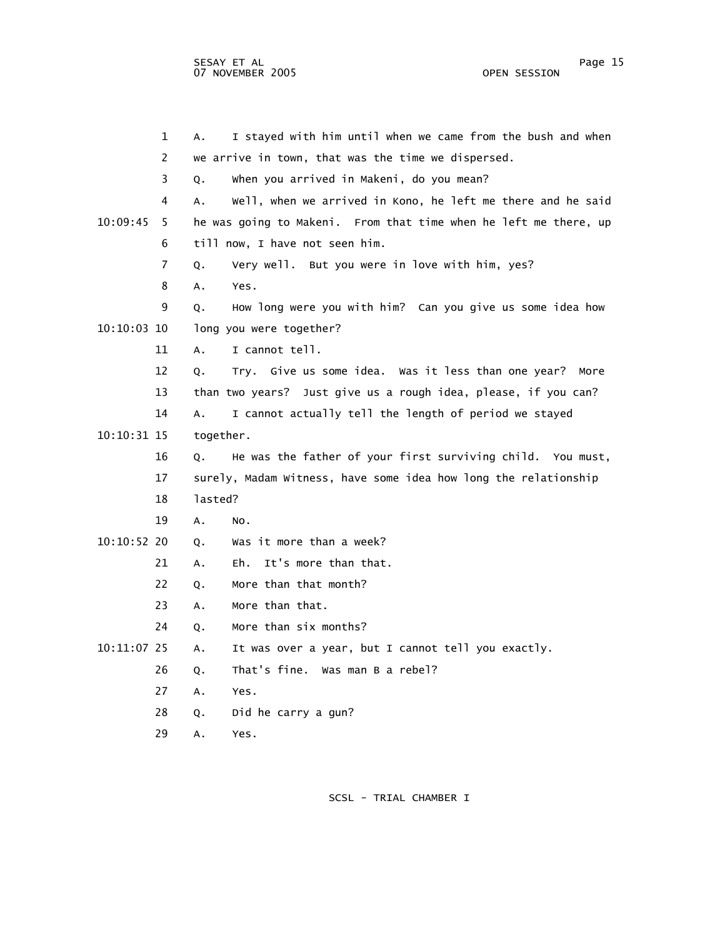|               | $\mathbf 1$    | А.        | I stayed with him until when we came from the bush and when      |
|---------------|----------------|-----------|------------------------------------------------------------------|
|               | $\overline{2}$ |           | we arrive in town, that was the time we dispersed.               |
|               | 3              | Q.        | When you arrived in Makeni, do you mean?                         |
|               | 4              | А.        | Well, when we arrived in Kono, he left me there and he said      |
| 10:09:45      | 5.             |           | he was going to Makeni. From that time when he left me there, up |
|               | 6              |           | till now, I have not seen him.                                   |
|               | 7              | Q.        | Very well. But you were in love with him, yes?                   |
|               | 8              | А.        | Yes.                                                             |
|               | 9              | Q.        | How long were you with him? Can you give us some idea how        |
| $10:10:03$ 10 |                |           | long you were together?                                          |
|               | 11             | Α.        | I cannot tell.                                                   |
|               | 12             | Q.        | Try. Give us some idea. Was it less than one year?<br>More       |
|               | 13             |           | than two years? Just give us a rough idea, please, if you can?   |
|               | 14             | Α.        | I cannot actually tell the length of period we stayed            |
| 10:10:31 15   |                | together. |                                                                  |
|               | 16             | Q.        | He was the father of your first surviving child. You must,       |
|               | 17             |           | surely, Madam Witness, have some idea how long the relationship  |
|               | 18             | lasted?   |                                                                  |
|               | 19             | Α.        | NO.                                                              |
| 10:10:52 20   |                | Q.        | Was it more than a week?                                         |
|               | 21             | Α.        | It's more than that.<br>Eh.                                      |
|               | 22             | Q.        | More than that month?                                            |
|               | 23             | A.        | More than that.                                                  |
|               | 24             | Q.        | More than six months?                                            |
| 10:11:07 25   |                | А.        | It was over a year, but I cannot tell you exactly.               |
|               | 26             | Q.        | That's fine. Was man B a rebel?                                  |
|               | 27             | А.        | Yes.                                                             |
|               | 28             | Q.        | Did he carry a gun?                                              |
|               | 29             | А.        | Yes.                                                             |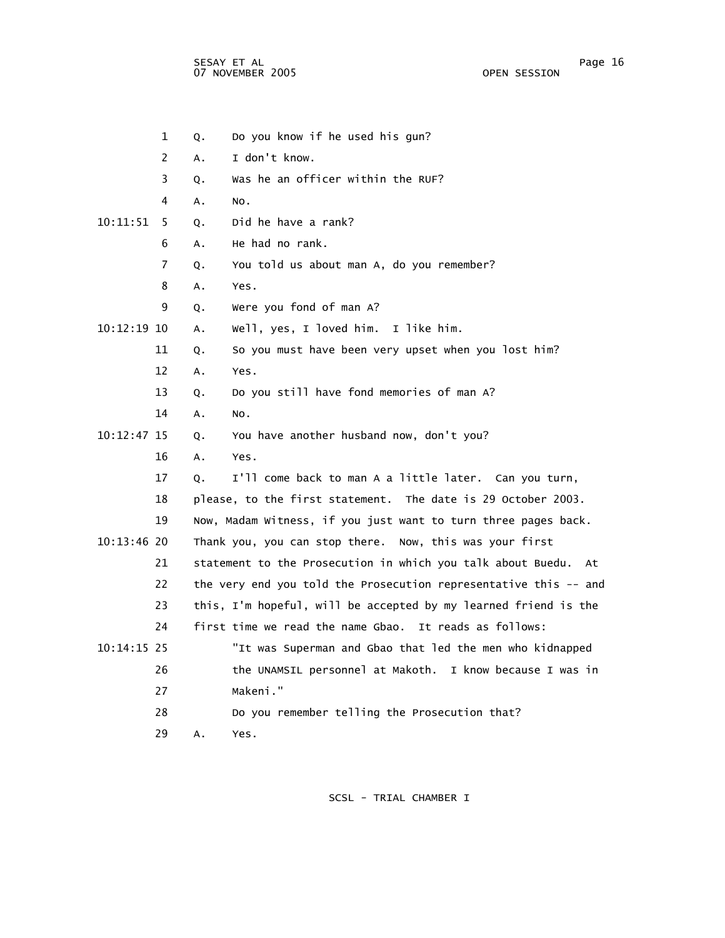sesay et al. In the second service of the service of the service of the service of the service of the service o 07 NOVEMBER 2005 OPEN SESSION

|             | $\mathbf 1$           | Q. | Do you know if he used his gun?                                  |
|-------------|-----------------------|----|------------------------------------------------------------------|
|             | $\mathbf{2}^{\prime}$ | А. | I don't know.                                                    |
|             | 3                     | Q. | Was he an officer within the RUF?                                |
|             | 4                     | А. | NO.                                                              |
| 10:11:51    | 5.                    | Q. | Did he have a rank?                                              |
|             | 6                     | Α. | He had no rank.                                                  |
|             | 7                     | Q. | You told us about man A, do you remember?                        |
|             | 8                     | Α. | Yes.                                                             |
|             | 9                     | Q. | Were you fond of man A?                                          |
| 10:12:19 10 |                       | Α. | Well, yes, I loved him. I like him.                              |
|             | 11                    | Q. | So you must have been very upset when you lost him?              |
|             | 12                    | Α. | Yes.                                                             |
|             | 13                    | Q. | Do you still have fond memories of man A?                        |
|             | 14                    | А. | NO.                                                              |
| 10:12:47 15 |                       | Q. | You have another husband now, don't you?                         |
|             | 16                    | А. | Yes.                                                             |
|             | 17                    | Q. | I'll come back to man A a little later. Can you turn,            |
|             | 18                    |    | please, to the first statement. The date is 29 October 2003.     |
|             | 19                    |    | Now, Madam Witness, if you just want to turn three pages back.   |
| 10:13:46 20 |                       |    | Thank you, you can stop there. Now, this was your first          |
|             | 21                    |    | statement to the Prosecution in which you talk about Buedu. At   |
|             | 22                    |    | the very end you told the Prosecution representative this -- and |
|             | 23                    |    | this, I'm hopeful, will be accepted by my learned friend is the  |
|             | 24                    |    | first time we read the name Gbao. It reads as follows:           |
| 10:14:15 25 |                       |    | "It was Superman and Gbao that led the men who kidnapped         |
|             | 26                    |    | the UNAMSIL personnel at Makoth. I know because I was in         |
|             | 27                    |    | Makeni."                                                         |
|             | 28                    |    | Do you remember telling the Prosecution that?                    |
|             | 29                    | А. | Yes.                                                             |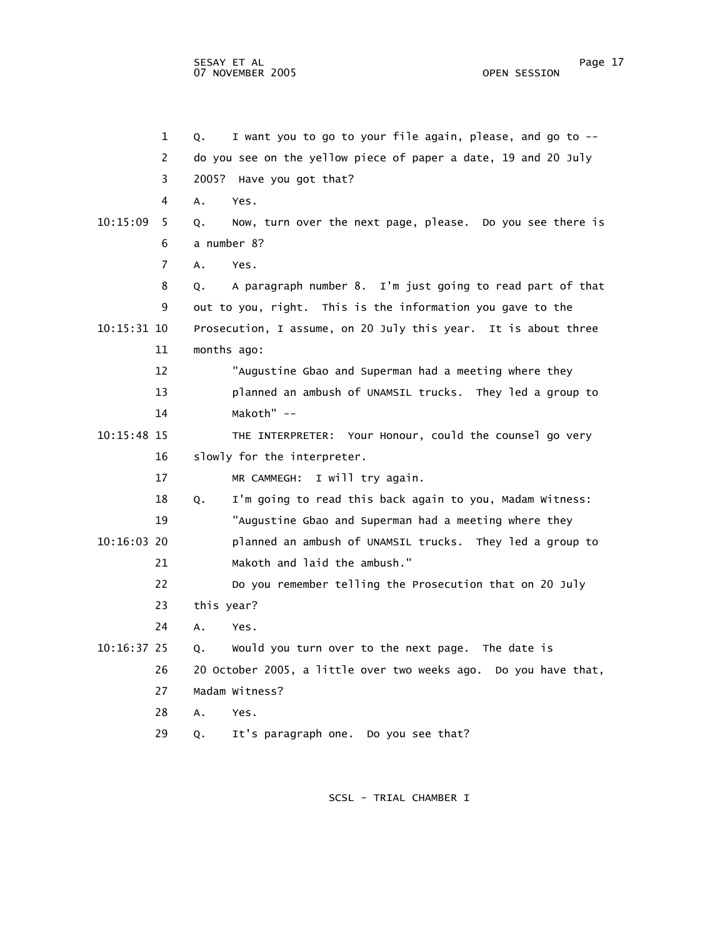1 Q. I want you to go to your file again, please, and go to -- 2 do you see on the yellow piece of paper a date, 19 and 20 July 3 2005? Have you got that? 4 A. Yes. 10:15:09 5 Q. Now, turn over the next page, please. Do you see there is 6 a number 8? 7 A. Yes. 8 Q. A paragraph number 8. I'm just going to read part of that 9 out to you, right. This is the information you gave to the 10:15:31 10 Prosecution, I assume, on 20 July this year. It is about three 11 months ago: 12 "Augustine Gbao and Superman had a meeting where they 13 planned an ambush of UNAMSIL trucks. They led a group to 14 Makoth" -- 10:15:48 15 THE INTERPRETER: Your Honour, could the counsel go very 16 slowly for the interpreter. 17 MR CAMMEGH: I will try again. 18 Q. I'm going to read this back again to you, Madam Witness: 19 "Augustine Gbao and Superman had a meeting where they 10:16:03 20 planned an ambush of UNAMSIL trucks. They led a group to 21 Makoth and laid the ambush." 22 Do you remember telling the Prosecution that on 20 July 23 this year? 24 A. Yes. 10:16:37 25 Q. Would you turn over to the next page. The date is 26 20 October 2005, a little over two weeks ago. Do you have that, 27 Madam Witness? 28 A. Yes. 29 Q. It's paragraph one. Do you see that?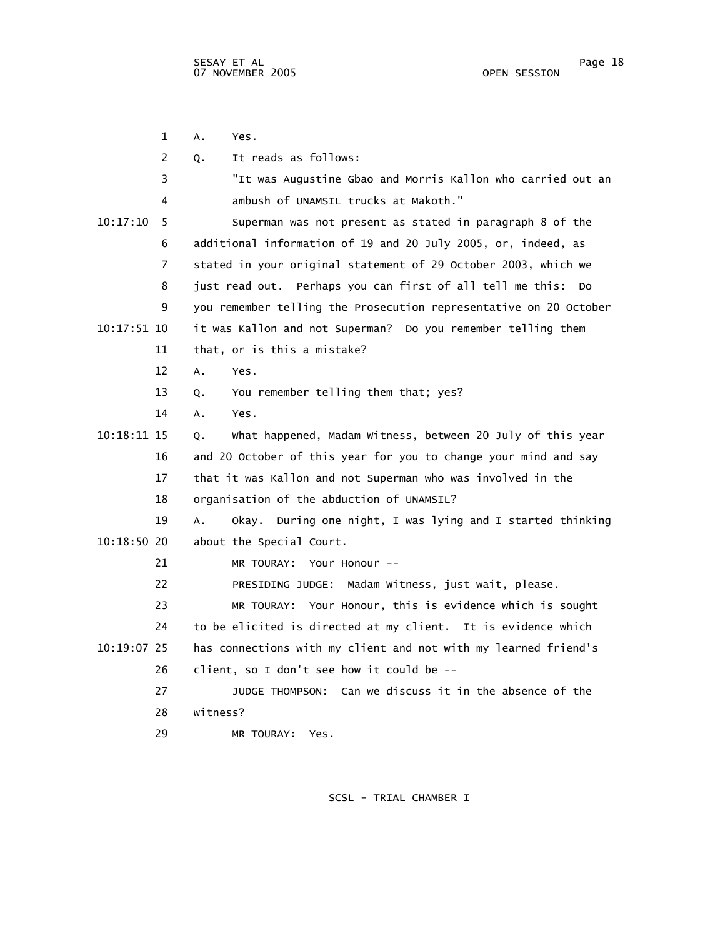|               | 1  | Α.<br>Yes.                                                             |
|---------------|----|------------------------------------------------------------------------|
|               | 2  | It reads as follows:<br>Q.                                             |
|               | 3  | "It was Augustine Gbao and Morris Kallon who carried out an            |
|               | 4  | ambush of UNAMSIL trucks at Makoth."                                   |
| 10:17:10      | 5  | Superman was not present as stated in paragraph 8 of the               |
|               | 6  | additional information of 19 and 20 July 2005, or, indeed, as          |
|               | 7  | stated in your original statement of 29 October 2003, which we         |
|               | 8  | just read out. Perhaps you can first of all tell me this:<br><b>DO</b> |
|               | 9  | you remember telling the Prosecution representative on 20 October      |
| $10:17:51$ 10 |    | it was Kallon and not Superman? Do you remember telling them           |
|               | 11 | that, or is this a mistake?                                            |
|               | 12 | A.<br>Yes.                                                             |
|               | 13 | You remember telling them that; yes?<br>Q.                             |
|               | 14 | Yes.<br>А.                                                             |
| 10:18:11 15   |    | What happened, Madam Witness, between 20 July of this year<br>Q.       |
|               | 16 | and 20 October of this year for you to change your mind and say        |
|               | 17 | that it was Kallon and not Superman who was involved in the            |
|               | 18 | organisation of the abduction of UNAMSIL?                              |
|               | 19 | During one night, I was lying and I started thinking<br>A.<br>Okay.    |
| $10:18:50$ 20 |    | about the Special Court.                                               |
|               | 21 | MR TOURAY: Your Honour --                                              |
|               | 22 | PRESIDING JUDGE: Madam Witness, just wait, please.                     |
|               | 23 | MR TOURAY: Your Honour, this is evidence which is sought               |
|               | 24 | to be elicited is directed at my client. It is evidence which          |
| 10:19:07 25   |    | has connections with my client and not with my learned friend's        |
|               | 26 | client, so I don't see how it could be --                              |
|               | 27 | JUDGE THOMPSON: Can we discuss it in the absence of the                |
|               | 28 | witness?                                                               |
|               | 29 | MR TOURAY:<br>Yes.                                                     |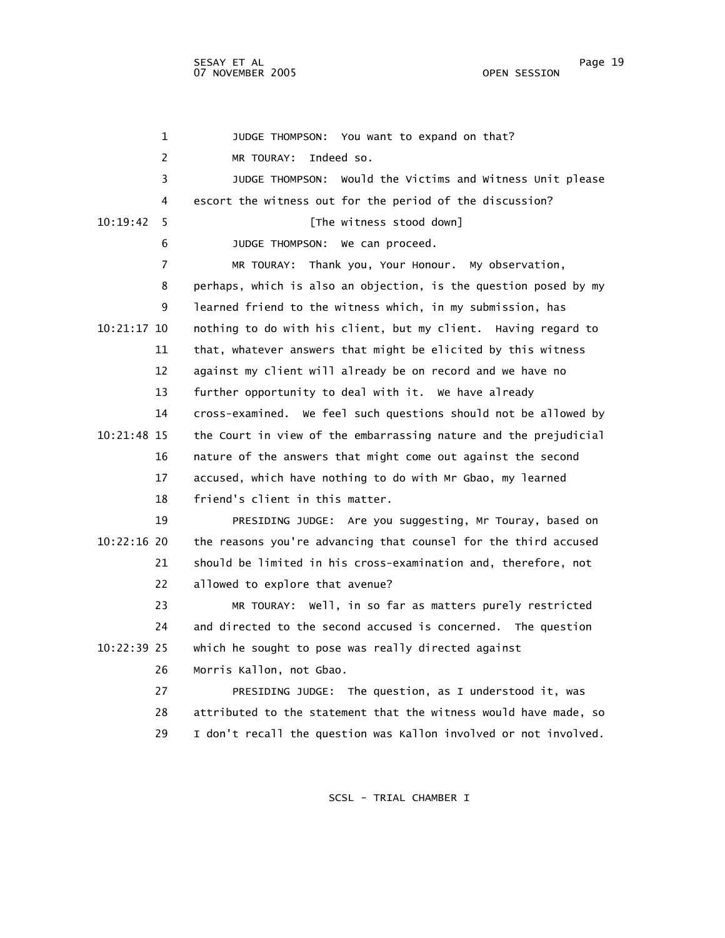1 JUDGE THOMPSON: You want to expand on that? 2 MR TOURAY: Indeed so. 3 JUDGE THOMPSON: Would the Victims and Witness Unit please 4 escort the witness out for the period of the discussion? 10:19:42 5 [The witness stood down] 6 JUDGE THOMPSON: We can proceed. 7 MR TOURAY: Thank you, Your Honour. My observation, 8 perhaps, which is also an objection, is the question posed by my 9 learned friend to the witness which, in my submission, has 10:21:17 10 nothing to do with his client, but my client. Having regard to 11 that, whatever answers that might be elicited by this witness 12 against my client will already be on record and we have no 13 further opportunity to deal with it. We have already 14 cross-examined. We feel such questions should not be allowed by 10:21:48 15 the Court in view of the embarrassing nature and the prejudicial 16 nature of the answers that might come out against the second 17 accused, which have nothing to do with Mr Gbao, my learned 18 friend's client in this matter. 19 PRESIDING JUDGE: Are you suggesting, Mr Touray, based on 10:22:16 20 the reasons you're advancing that counsel for the third accused 21 should be limited in his cross-examination and, therefore, not 22 allowed to explore that avenue? 23 MR TOURAY: Well, in so far as matters purely restricted 24 and directed to the second accused is concerned. The question 10:22:39 25 which he sought to pose was really directed against 26 Morris Kallon, not Gbao. 27 PRESIDING JUDGE: The question, as I understood it, was 28 attributed to the statement that the witness would have made, so 29 I don't recall the question was Kallon involved or not involved.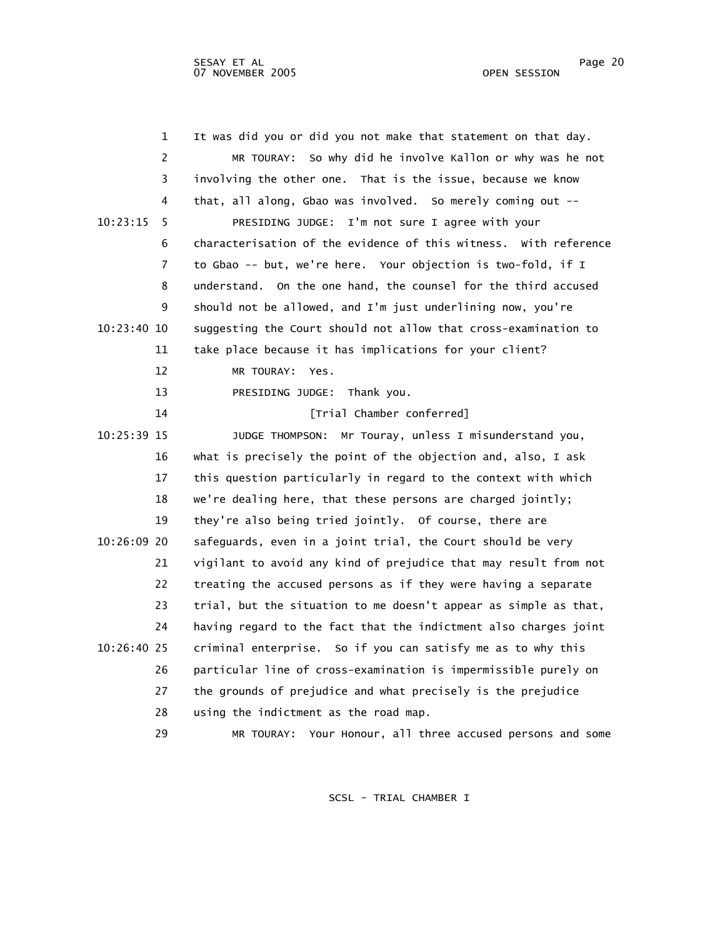| $\mathbf 1$   | It was did you or did you not make that statement on that day.   |
|---------------|------------------------------------------------------------------|
| 2             | MR TOURAY: So why did he involve Kallon or why was he not        |
| 3             | involving the other one. That is the issue, because we know      |
| 4             | that, all along, Gbao was involved. So merely coming out --      |
| 10:23:15<br>5 | PRESIDING JUDGE: I'm not sure I agree with your                  |
| 6             | characterisation of the evidence of this witness. With reference |
| 7             | to Gbao -- but, we're here. Your objection is two-fold, if I     |
| 8             | understand. On the one hand, the counsel for the third accused   |
| 9             | should not be allowed, and I'm just underlining now, you're      |
| 10:23:40 10   | suggesting the Court should not allow that cross-examination to  |
| 11            | take place because it has implications for your client?          |
| 12            | MR TOURAY: Yes.                                                  |
| 13            | PRESIDING JUDGE: Thank you.                                      |
| 14            | [Trial Chamber conferred]                                        |
| 10:25:39 15   | Mr Touray, unless I misunderstand you,<br>JUDGE THOMPSON:        |
| 16            | what is precisely the point of the objection and, also, I ask    |
| 17            | this question particularly in regard to the context with which   |
| 18            | we're dealing here, that these persons are charged jointly;      |
| 19            | they're also being tried jointly. Of course, there are           |
| 10:26:09 20   | safeguards, even in a joint trial, the Court should be very      |
| 21            | vigilant to avoid any kind of prejudice that may result from not |
| 22            | treating the accused persons as if they were having a separate   |
| 23            | trial, but the situation to me doesn't appear as simple as that, |
| 24            | having regard to the fact that the indictment also charges joint |
| 10:26:40 25   | criminal enterprise. So if you can satisfy me as to why this     |
| 26            | particular line of cross-examination is impermissible purely on  |
| 27            | the grounds of prejudice and what precisely is the prejudice     |
| 28            | using the indictment as the road map.                            |
| 29            | MR TOURAY: Your Honour, all three accused persons and some       |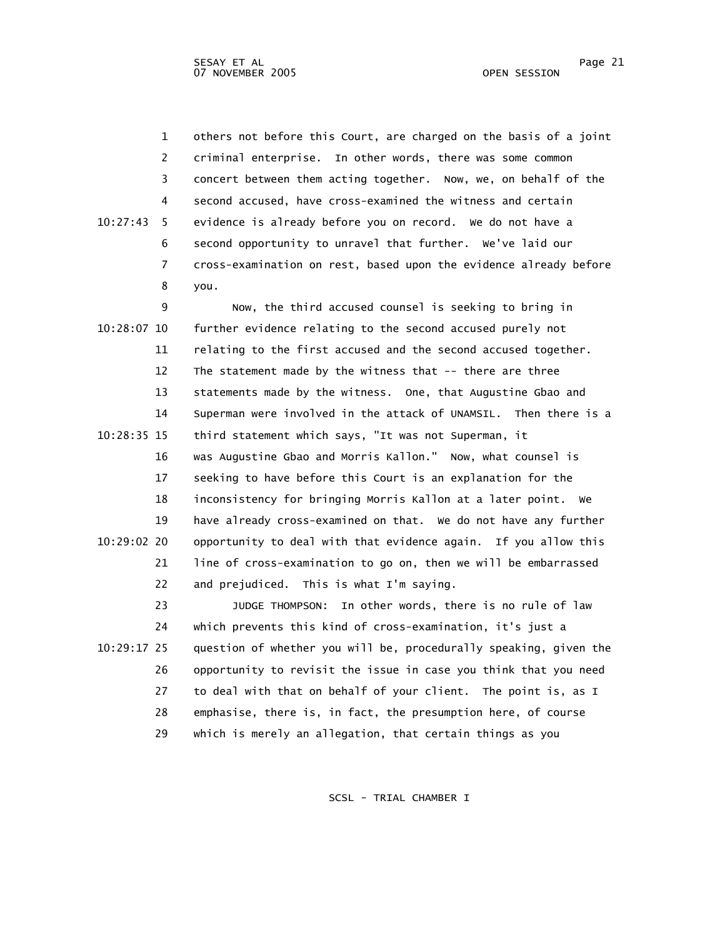1 others not before this Court, are charged on the basis of a joint 2 criminal enterprise. In other words, there was some common 3 concert between them acting together. Now, we, on behalf of the 4 second accused, have cross-examined the witness and certain 10:27:43 5 evidence is already before you on record. We do not have a 6 second opportunity to unravel that further. We've laid our 7 cross-examination on rest, based upon the evidence already before 8 you.

 9 Now, the third accused counsel is seeking to bring in 10:28:07 10 further evidence relating to the second accused purely not 11 relating to the first accused and the second accused together. 12 The statement made by the witness that -- there are three 13 statements made by the witness. One, that Augustine Gbao and 14 Superman were involved in the attack of UNAMSIL. Then there is a 10:28:35 15 third statement which says, "It was not Superman, it 16 was Augustine Gbao and Morris Kallon." Now, what counsel is 17 seeking to have before this Court is an explanation for the 18 inconsistency for bringing Morris Kallon at a later point. We 19 have already cross-examined on that. We do not have any further 10:29:02 20 opportunity to deal with that evidence again. If you allow this 21 line of cross-examination to go on, then we will be embarrassed 22 and prejudiced. This is what I'm saying.

 23 JUDGE THOMPSON: In other words, there is no rule of law 24 which prevents this kind of cross-examination, it's just a 10:29:17 25 question of whether you will be, procedurally speaking, given the 26 opportunity to revisit the issue in case you think that you need 27 to deal with that on behalf of your client. The point is, as I 28 emphasise, there is, in fact, the presumption here, of course 29 which is merely an allegation, that certain things as you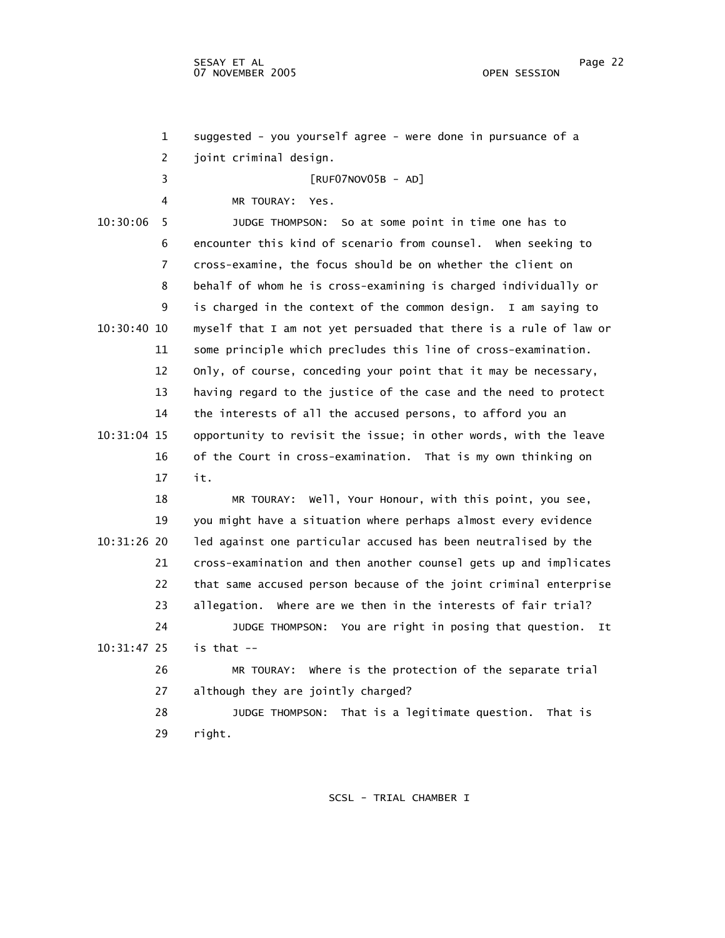1 suggested - you yourself agree - were done in pursuance of a 2 joint criminal design. 3 [RUF07NOV05B - AD] 4 MR TOURAY: Yes. 10:30:06 5 JUDGE THOMPSON: So at some point in time one has to 6 encounter this kind of scenario from counsel. When seeking to 7 cross-examine, the focus should be on whether the client on 8 behalf of whom he is cross-examining is charged individually or 9 is charged in the context of the common design. I am saying to 10:30:40 10 myself that I am not yet persuaded that there is a rule of law or 11 some principle which precludes this line of cross-examination. 12 Only, of course, conceding your point that it may be necessary, 13 having regard to the justice of the case and the need to protect 14 the interests of all the accused persons, to afford you an 10:31:04 15 opportunity to revisit the issue; in other words, with the leave 16 of the Court in cross-examination. That is my own thinking on 17 it. 18 MR TOURAY: Well, Your Honour, with this point, you see, 19 you might have a situation where perhaps almost every evidence 10:31:26 20 led against one particular accused has been neutralised by the 21 cross-examination and then another counsel gets up and implicates 22 that same accused person because of the joint criminal enterprise 23 allegation. Where are we then in the interests of fair trial? 24 JUDGE THOMPSON: You are right in posing that question. It 10:31:47 25 is that -- 26 MR TOURAY: Where is the protection of the separate trial 27 although they are jointly charged? 28 JUDGE THOMPSON: That is a legitimate question. That is 29 right.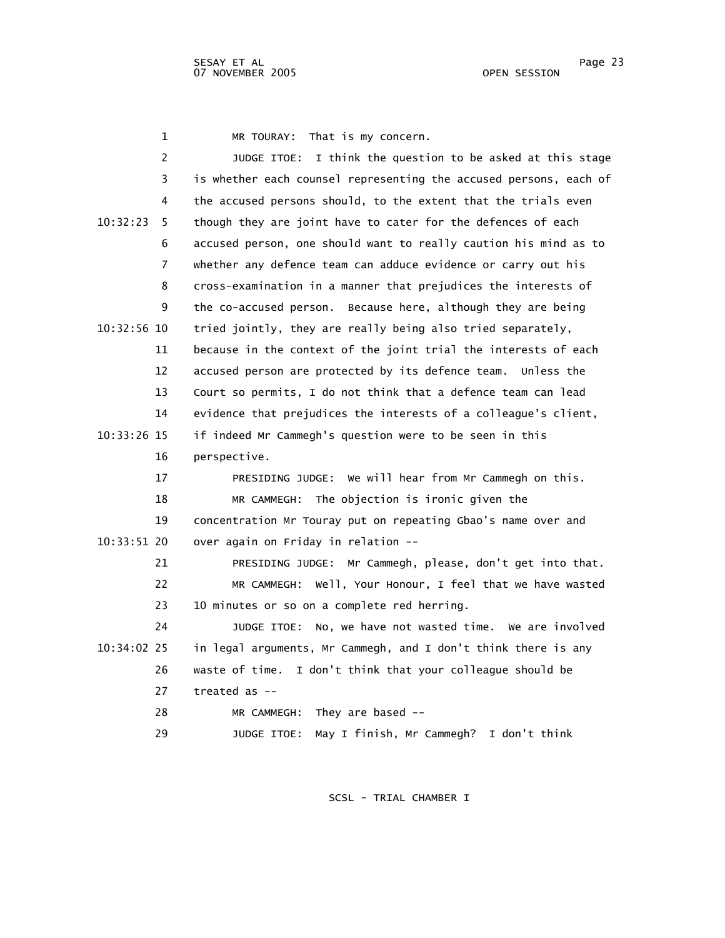1 MR TOURAY: That is my concern.

| 2             | JUDGE ITOE: I think the question to be asked at this stage        |
|---------------|-------------------------------------------------------------------|
| 3             | is whether each counsel representing the accused persons, each of |
| 4             | the accused persons should, to the extent that the trials even    |
| 10:32:23<br>5 | though they are joint have to cater for the defences of each      |
| 6             | accused person, one should want to really caution his mind as to  |
| 7             | whether any defence team can adduce evidence or carry out his     |
| 8             | cross-examination in a manner that prejudices the interests of    |
| 9             | the co-accused person. Because here, although they are being      |
| $10:32:56$ 10 | tried jointly, they are really being also tried separately,       |
| 11            | because in the context of the joint trial the interests of each   |
| 12            | accused person are protected by its defence team. Unless the      |
| 13            | Court so permits, I do not think that a defence team can lead     |
| 14            | evidence that prejudices the interests of a colleague's client,   |
| 10:33:26 15   | if indeed Mr Cammegh's question were to be seen in this           |
| 16            | perspective.                                                      |
| 17            | PRESIDING JUDGE: We will hear from Mr Cammegh on this.            |
| 18            | MR CAMMEGH: The objection is ironic given the                     |
| 19            | concentration Mr Touray put on repeating Gbao's name over and     |
| 10:33:51 20   | over again on Friday in relation --                               |
| 21            | PRESIDING JUDGE: Mr Cammegh, please, don't get into that.         |
| 22            | Well, Your Honour, I feel that we have wasted<br>MR CAMMEGH:      |
| 23            | 10 minutes or so on a complete red herring.                       |
| 24            | No, we have not wasted time. We are involved<br>JUDGE ITOE:       |
| $10:34:02$ 25 | in legal arguments, Mr Cammegh, and I don't think there is any    |
| 26            | waste of time. I don't think that your colleague should be        |
| 27            | treated as $-$                                                    |
| 28            | They are based $-$<br>MR CAMMEGH:                                 |
| 29            | I don't think<br>May I finish, Mr Cammegh?<br>JUDGE ITOE:         |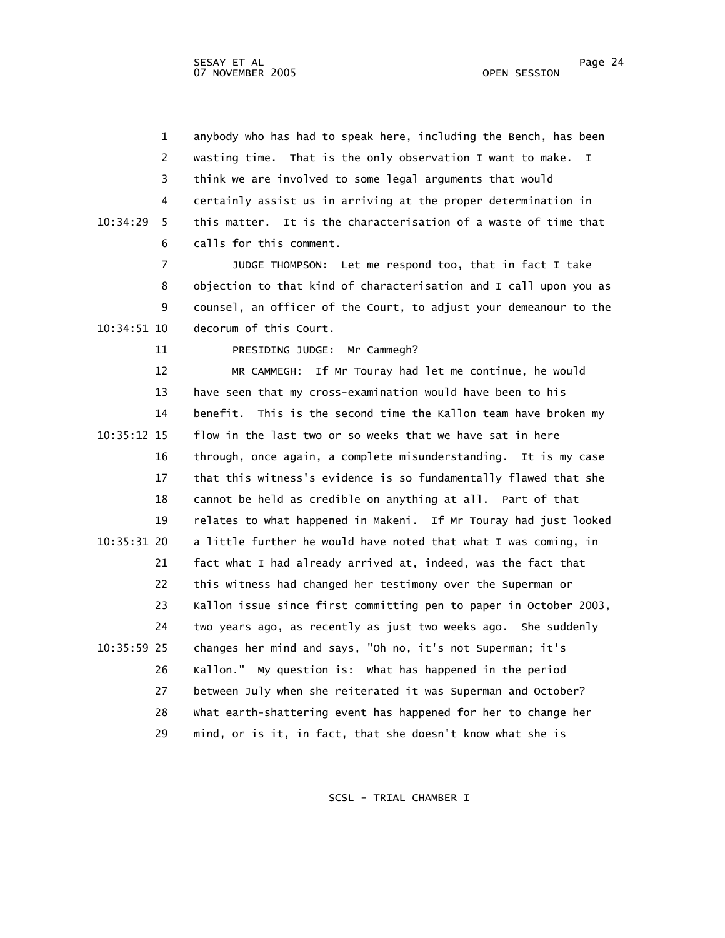1 anybody who has had to speak here, including the Bench, has been 2 wasting time. That is the only observation I want to make. I 3 think we are involved to some legal arguments that would 4 certainly assist us in arriving at the proper determination in 10:34:29 5 this matter. It is the characterisation of a waste of time that 6 calls for this comment.

 7 JUDGE THOMPSON: Let me respond too, that in fact I take 8 objection to that kind of characterisation and I call upon you as 9 counsel, an officer of the Court, to adjust your demeanour to the 10:34:51 10 decorum of this Court.

11 PRESIDING JUDGE: Mr Cammegh?

 12 MR CAMMEGH: If Mr Touray had let me continue, he would 13 have seen that my cross-examination would have been to his 14 benefit. This is the second time the Kallon team have broken my 10:35:12 15 flow in the last two or so weeks that we have sat in here 16 through, once again, a complete misunderstanding. It is my case 17 that this witness's evidence is so fundamentally flawed that she 18 cannot be held as credible on anything at all. Part of that 19 relates to what happened in Makeni. If Mr Touray had just looked 10:35:31 20 a little further he would have noted that what I was coming, in 21 fact what I had already arrived at, indeed, was the fact that 22 this witness had changed her testimony over the Superman or 23 Kallon issue since first committing pen to paper in October 2003, 24 two years ago, as recently as just two weeks ago. She suddenly 10:35:59 25 changes her mind and says, "Oh no, it's not Superman; it's 26 Kallon." My question is: What has happened in the period 27 between July when she reiterated it was Superman and October? 28 What earth-shattering event has happened for her to change her 29 mind, or is it, in fact, that she doesn't know what she is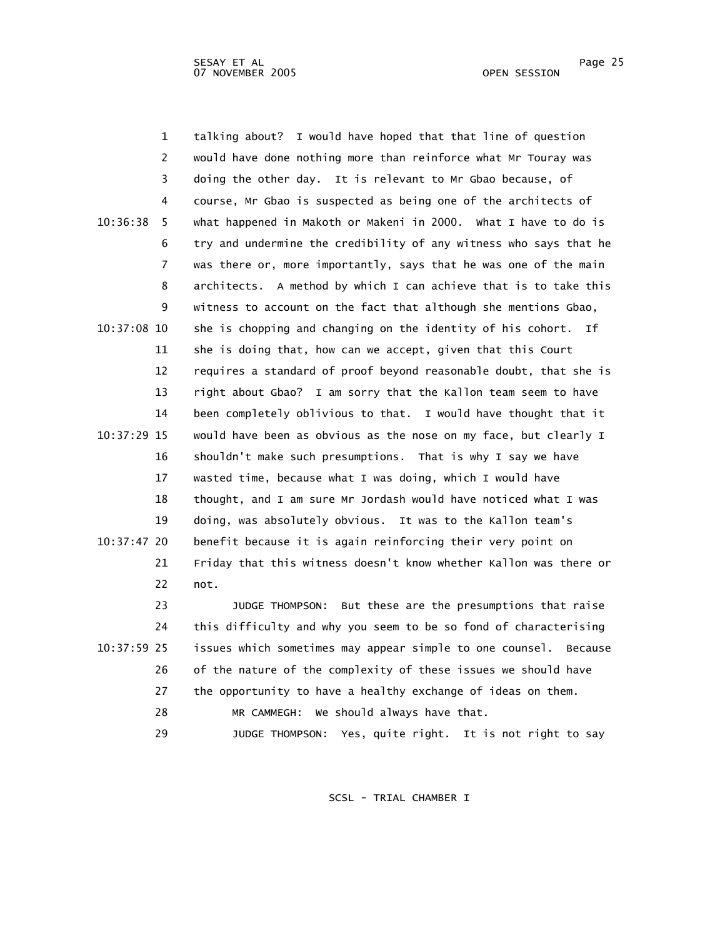1 talking about? I would have hoped that that line of question 2 would have done nothing more than reinforce what Mr Touray was 3 doing the other day. It is relevant to Mr Gbao because, of 4 course, Mr Gbao is suspected as being one of the architects of 10:36:38 5 what happened in Makoth or Makeni in 2000. What I have to do is 6 try and undermine the credibility of any witness who says that he 7 was there or, more importantly, says that he was one of the main 8 architects. A method by which I can achieve that is to take this 9 witness to account on the fact that although she mentions Gbao, 10:37:08 10 she is chopping and changing on the identity of his cohort. If 11 she is doing that, how can we accept, given that this Court 12 requires a standard of proof beyond reasonable doubt, that she is 13 right about Gbao? I am sorry that the Kallon team seem to have 14 been completely oblivious to that. I would have thought that it 10:37:29 15 would have been as obvious as the nose on my face, but clearly I 16 shouldn't make such presumptions. That is why I say we have 17 wasted time, because what I was doing, which I would have 18 thought, and I am sure Mr Jordash would have noticed what I was 19 doing, was absolutely obvious. It was to the Kallon team's 10:37:47 20 benefit because it is again reinforcing their very point on 21 Friday that this witness doesn't know whether Kallon was there or 22 not.

 23 JUDGE THOMPSON: But these are the presumptions that raise 24 this difficulty and why you seem to be so fond of characterising 10:37:59 25 issues which sometimes may appear simple to one counsel. Because 26 of the nature of the complexity of these issues we should have 27 the opportunity to have a healthy exchange of ideas on them. 28 MR CAMMEGH: We should always have that. 29 JUDGE THOMPSON: Yes, quite right. It is not right to say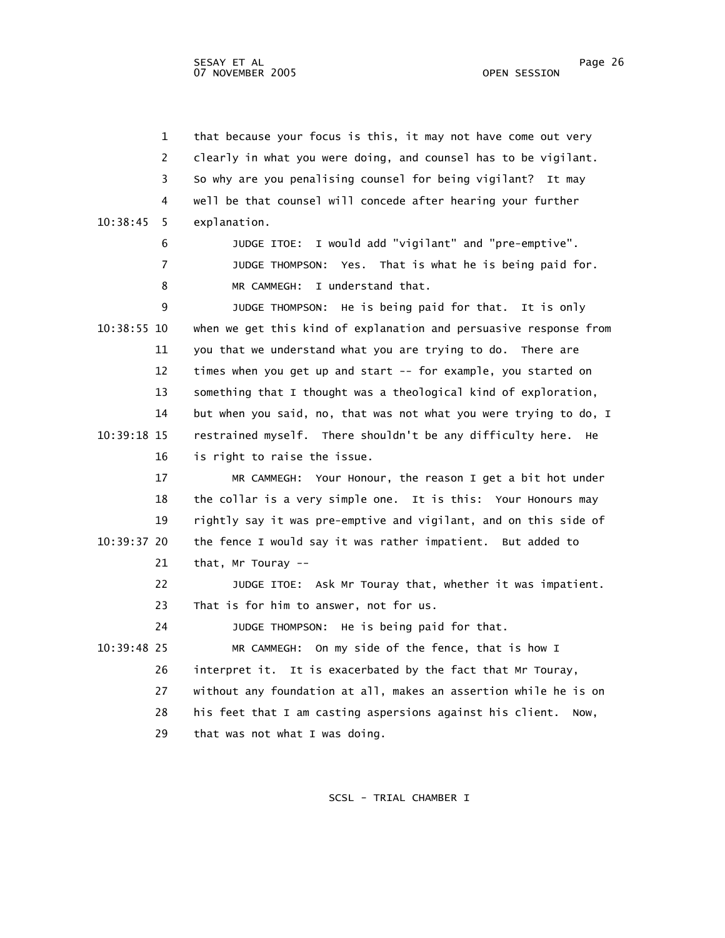| $\mathbf{1}$  | that because your focus is this, it may not have come out very    |
|---------------|-------------------------------------------------------------------|
| 2             | clearly in what you were doing, and counsel has to be vigilant.   |
| 3             | So why are you penalising counsel for being vigilant? It may      |
| 4             | well be that counsel will concede after hearing your further      |
| 10:38:45<br>5 | explanation.                                                      |
| 6             | JUDGE ITOE: I would add "vigilant" and "pre-emptive".             |
| 7             | JUDGE THOMPSON: Yes. That is what he is being paid for.           |
| 8             | I understand that.<br>MR CAMMEGH:                                 |
| 9             | JUDGE THOMPSON: He is being paid for that. It is only             |
| 10:38:55 10   | when we get this kind of explanation and persuasive response from |
| 11            | you that we understand what you are trying to do. There are       |
| 12            | times when you get up and start -- for example, you started on    |
| 13            | something that I thought was a theological kind of exploration,   |
| 14            | but when you said, no, that was not what you were trying to do, I |
| 10:39:18 15   | restrained myself. There shouldn't be any difficulty here.<br>He  |
| 16            | is right to raise the issue.                                      |
| 17            | MR CAMMEGH: Your Honour, the reason I get a bit hot under         |
| 18            | the collar is a very simple one. It is this: Your Honours may     |
| 19            | rightly say it was pre-emptive and vigilant, and on this side of  |
| 10:39:37 20   | the fence I would say it was rather impatient. But added to       |
| 21            | that, Mr Touray $-$                                               |
| 22            | JUDGE ITOE: Ask Mr Touray that, whether it was impatient.         |
| 23            | That is for him to answer, not for us.                            |
| 24            | JUDGE THOMPSON: He is being paid for that.                        |
| 10:39:48 25   | MR CAMMEGH: On my side of the fence, that is how I                |
| 26            | interpret it. It is exacerbated by the fact that Mr Touray,       |
| 27            | without any foundation at all, makes an assertion while he is on  |
| 28            | his feet that I am casting aspersions against his client.<br>Now, |
| 29            | that was not what I was doing.                                    |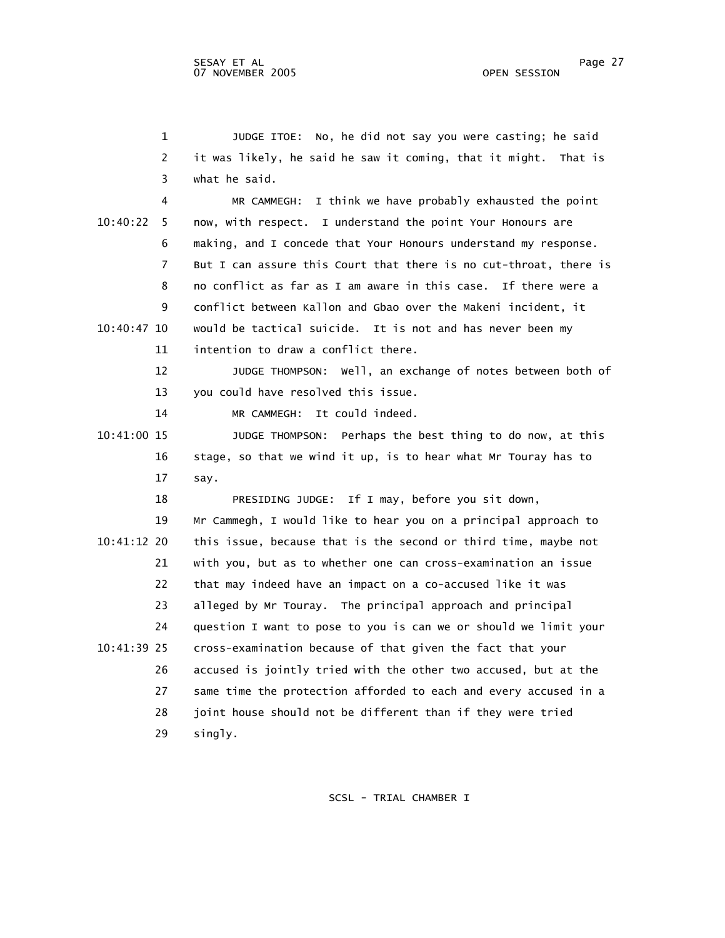1 JUDGE ITOE: No, he did not say you were casting; he said 2 it was likely, he said he saw it coming, that it might. That is 3 what he said. 4 MR CAMMEGH: I think we have probably exhausted the point 10:40:22 5 now, with respect. I understand the point Your Honours are 6 making, and I concede that Your Honours understand my response. 7 But I can assure this Court that there is no cut-throat, there is 8 no conflict as far as I am aware in this case. If there were a 9 conflict between Kallon and Gbao over the Makeni incident, it 10:40:47 10 would be tactical suicide. It is not and has never been my 11 intention to draw a conflict there. 12 JUDGE THOMPSON: Well, an exchange of notes between both of 13 you could have resolved this issue. 14 MR CAMMEGH: It could indeed. 10:41:00 15 JUDGE THOMPSON: Perhaps the best thing to do now, at this 16 stage, so that we wind it up, is to hear what Mr Touray has to 17 say. 18 PRESIDING JUDGE: If I may, before you sit down, 19 Mr Cammegh, I would like to hear you on a principal approach to 10:41:12 20 this issue, because that is the second or third time, maybe not 21 with you, but as to whether one can cross-examination an issue 22 that may indeed have an impact on a co-accused like it was 23 alleged by Mr Touray. The principal approach and principal 24 question I want to pose to you is can we or should we limit your 10:41:39 25 cross-examination because of that given the fact that your 26 accused is jointly tried with the other two accused, but at the 27 same time the protection afforded to each and every accused in a 28 joint house should not be different than if they were tried

29 singly.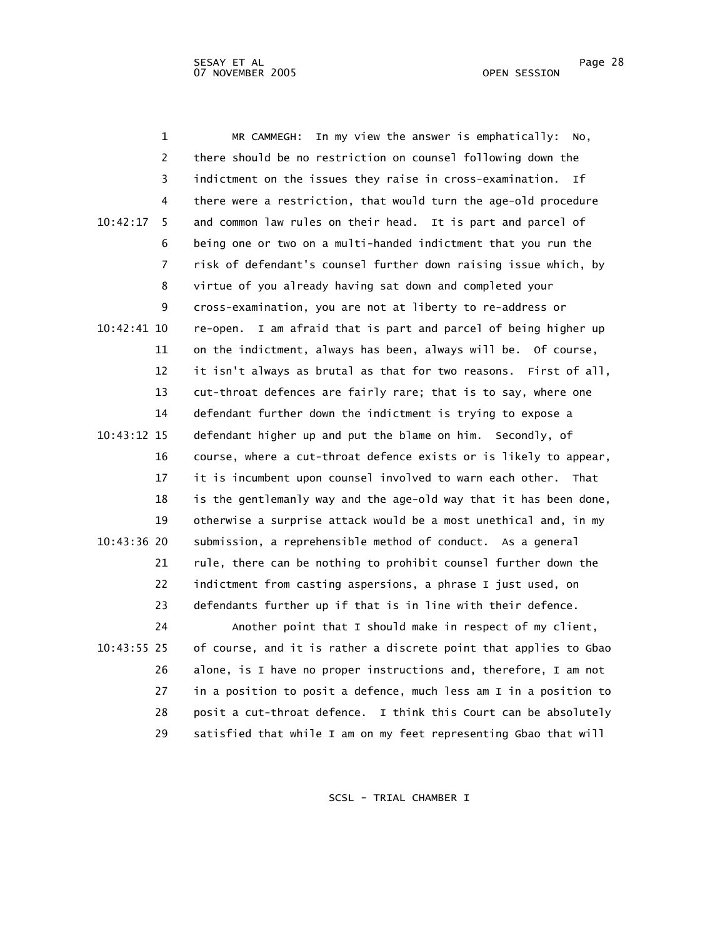1 MR CAMMEGH: In my view the answer is emphatically: No, 2 there should be no restriction on counsel following down the 3 indictment on the issues they raise in cross-examination. If 4 there were a restriction, that would turn the age-old procedure 10:42:17 5 and common law rules on their head. It is part and parcel of 6 being one or two on a multi-handed indictment that you run the 7 risk of defendant's counsel further down raising issue which, by 8 virtue of you already having sat down and completed your 9 cross-examination, you are not at liberty to re-address or 10:42:41 10 re-open. I am afraid that is part and parcel of being higher up 11 on the indictment, always has been, always will be. Of course, 12 it isn't always as brutal as that for two reasons. First of all, 13 cut-throat defences are fairly rare; that is to say, where one 14 defendant further down the indictment is trying to expose a 10:43:12 15 defendant higher up and put the blame on him. Secondly, of 16 course, where a cut-throat defence exists or is likely to appear, 17 it is incumbent upon counsel involved to warn each other. That 18 is the gentlemanly way and the age-old way that it has been done, 19 otherwise a surprise attack would be a most unethical and, in my 10:43:36 20 submission, a reprehensible method of conduct. As a general 21 rule, there can be nothing to prohibit counsel further down the 22 indictment from casting aspersions, a phrase I just used, on 23 defendants further up if that is in line with their defence. 24 Another point that I should make in respect of my client, 10:43:55 25 of course, and it is rather a discrete point that applies to Gbao 26 alone, is I have no proper instructions and, therefore, I am not 27 in a position to posit a defence, much less am I in a position to 28 posit a cut-throat defence. I think this Court can be absolutely 29 satisfied that while I am on my feet representing Gbao that will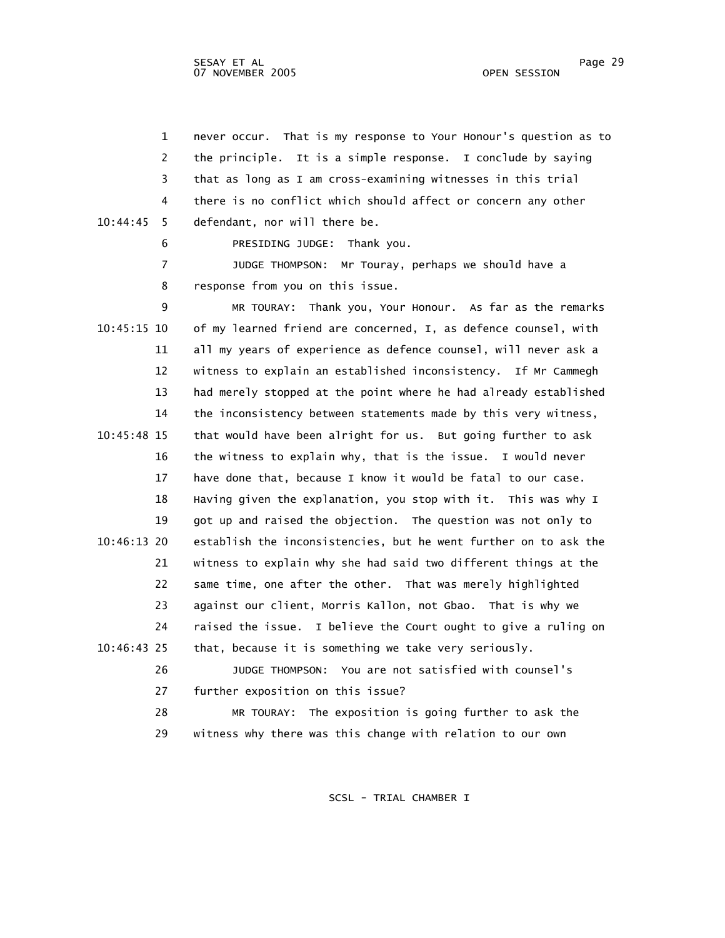1 never occur. That is my response to Your Honour's question as to 2 the principle. It is a simple response. I conclude by saying 3 that as long as I am cross-examining witnesses in this trial 4 there is no conflict which should affect or concern any other 10:44:45 5 defendant, nor will there be.

6 PRESIDING JUDGE: Thank you.

 7 JUDGE THOMPSON: Mr Touray, perhaps we should have a 8 response from you on this issue.

 9 MR TOURAY: Thank you, Your Honour. As far as the remarks 10:45:15 10 of my learned friend are concerned, I, as defence counsel, with 11 all my years of experience as defence counsel, will never ask a 12 witness to explain an established inconsistency. If Mr Cammegh 13 had merely stopped at the point where he had already established 14 the inconsistency between statements made by this very witness, 10:45:48 15 that would have been alright for us. But going further to ask 16 the witness to explain why, that is the issue. I would never 17 have done that, because I know it would be fatal to our case. 18 Having given the explanation, you stop with it. This was why I 19 got up and raised the objection. The question was not only to 10:46:13 20 establish the inconsistencies, but he went further on to ask the 21 witness to explain why she had said two different things at the 22 same time, one after the other. That was merely highlighted 23 against our client, Morris Kallon, not Gbao. That is why we 24 raised the issue. I believe the Court ought to give a ruling on 10:46:43 25 that, because it is something we take very seriously.

 26 JUDGE THOMPSON: You are not satisfied with counsel's 27 further exposition on this issue?

 28 MR TOURAY: The exposition is going further to ask the 29 witness why there was this change with relation to our own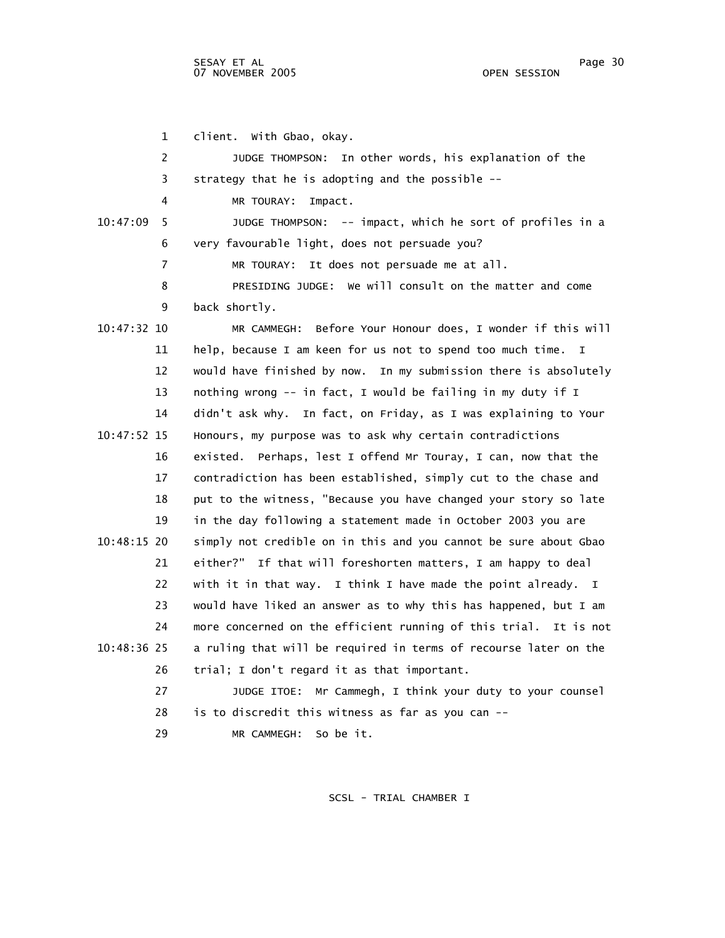1 client. With Gbao, okay. 2 JUDGE THOMPSON: In other words, his explanation of the 3 strategy that he is adopting and the possible -- 4 MR TOURAY: Impact. 10:47:09 5 JUDGE THOMPSON: -- impact, which he sort of profiles in a 6 very favourable light, does not persuade you? 7 MR TOURAY: It does not persuade me at all. 8 PRESIDING JUDGE: We will consult on the matter and come 9 back shortly. 10:47:32 10 MR CAMMEGH: Before Your Honour does, I wonder if this will 11 help, because I am keen for us not to spend too much time. I 12 would have finished by now. In my submission there is absolutely 13 nothing wrong -- in fact, I would be failing in my duty if I 14 didn't ask why. In fact, on Friday, as I was explaining to Your 10:47:52 15 Honours, my purpose was to ask why certain contradictions 16 existed. Perhaps, lest I offend Mr Touray, I can, now that the 17 contradiction has been established, simply cut to the chase and 18 put to the witness, "Because you have changed your story so late 19 in the day following a statement made in October 2003 you are 10:48:15 20 simply not credible on in this and you cannot be sure about Gbao 21 either?" If that will foreshorten matters, I am happy to deal 22 with it in that way. I think I have made the point already. I 23 would have liked an answer as to why this has happened, but I am 24 more concerned on the efficient running of this trial. It is not 10:48:36 25 a ruling that will be required in terms of recourse later on the 26 trial; I don't regard it as that important. 27 JUDGE ITOE: Mr Cammegh, I think your duty to your counsel 28 is to discredit this witness as far as you can -- 29 MR CAMMEGH: So be it.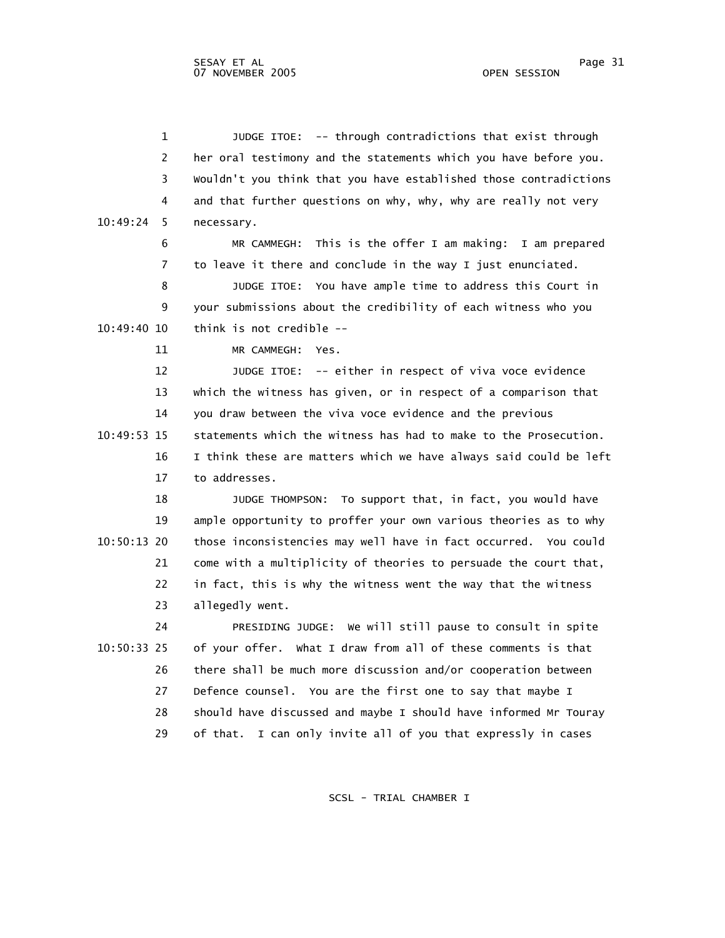1 JUDGE ITOE: -- through contradictions that exist through 2 her oral testimony and the statements which you have before you. 3 Wouldn't you think that you have established those contradictions 4 and that further questions on why, why, why are really not very 10:49:24 5 necessary. 6 MR CAMMEGH: This is the offer I am making: I am prepared 7 to leave it there and conclude in the way I just enunciated. 8 JUDGE ITOE: You have ample time to address this Court in 9 your submissions about the credibility of each witness who you 10:49:40 10 think is not credible -- 11 MR CAMMEGH: Yes. 12 JUDGE ITOE: -- either in respect of viva voce evidence 13 which the witness has given, or in respect of a comparison that 14 you draw between the viva voce evidence and the previous 10:49:53 15 statements which the witness has had to make to the Prosecution. 16 I think these are matters which we have always said could be left 17 to addresses. 18 JUDGE THOMPSON: To support that, in fact, you would have 19 ample opportunity to proffer your own various theories as to why 10:50:13 20 those inconsistencies may well have in fact occurred. You could 21 come with a multiplicity of theories to persuade the court that, 22 in fact, this is why the witness went the way that the witness 23 allegedly went. 24 PRESIDING JUDGE: We will still pause to consult in spite 10:50:33 25 of your offer. What I draw from all of these comments is that 26 there shall be much more discussion and/or cooperation between 27 Defence counsel. You are the first one to say that maybe I 28 should have discussed and maybe I should have informed Mr Touray 29 of that. I can only invite all of you that expressly in cases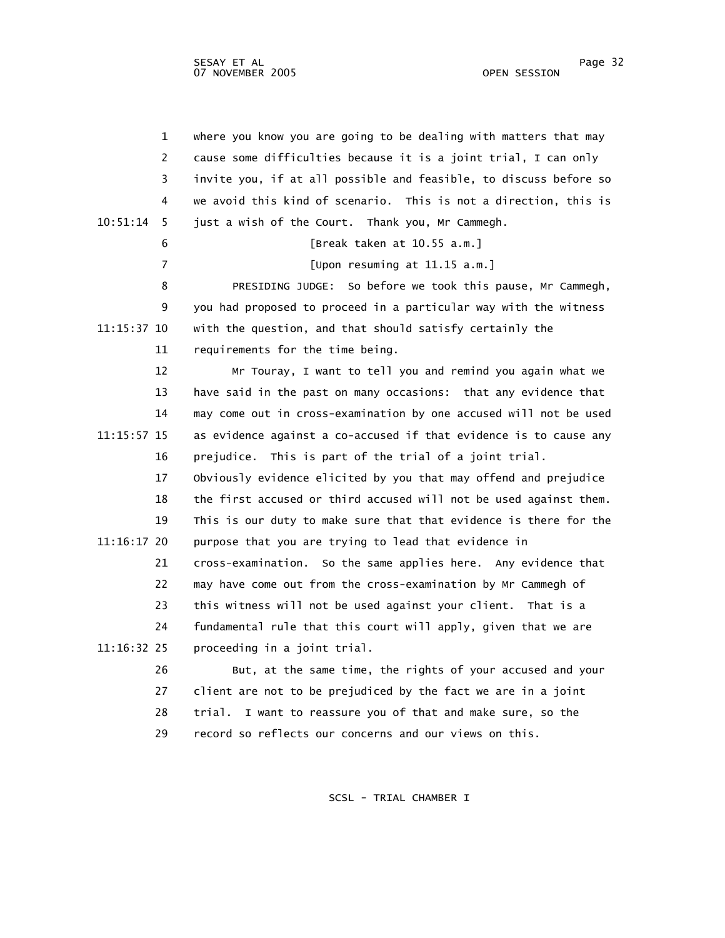|             | $\mathbf 1$    | where you know you are going to be dealing with matters that may  |
|-------------|----------------|-------------------------------------------------------------------|
|             | 2              | cause some difficulties because it is a joint trial, I can only   |
|             | 3              | invite you, if at all possible and feasible, to discuss before so |
|             | 4              | we avoid this kind of scenario. This is not a direction, this is  |
| 10:51:14    | 5              | just a wish of the Court. Thank you, Mr Cammegh.                  |
|             | 6              | [Break taken at 10.55 a.m.]                                       |
|             | $\overline{7}$ | [Upon resuming at 11.15 a.m.]                                     |
|             | 8              | PRESIDING JUDGE: So before we took this pause, Mr Cammegh,        |
|             | 9              | you had proposed to proceed in a particular way with the witness  |
| 11:15:37 10 |                | with the question, and that should satisfy certainly the          |
|             | 11             | requirements for the time being.                                  |
|             | 12             | Mr Touray, I want to tell you and remind you again what we        |
|             | 13             | have said in the past on many occasions: that any evidence that   |
|             | 14             | may come out in cross-examination by one accused will not be used |
| 11:15:57 15 |                | as evidence against a co-accused if that evidence is to cause any |
|             | 16             | prejudice. This is part of the trial of a joint trial.            |
|             | 17             | Obviously evidence elicited by you that may offend and prejudice  |
|             | 18             | the first accused or third accused will not be used against them. |
|             | 19             | This is our duty to make sure that that evidence is there for the |
| 11:16:17 20 |                | purpose that you are trying to lead that evidence in              |
|             | 21             | cross-examination. So the same applies here. Any evidence that    |
|             | 22             | may have come out from the cross-examination by Mr Cammegh of     |
|             | 23             | this witness will not be used against your client. That is a      |
|             | 24             | fundamental rule that this court will apply, given that we are    |
| 11:16:32 25 |                | proceeding in a joint trial.                                      |
|             | 26             | But, at the same time, the rights of your accused and your        |
|             | 27             | client are not to be prejudiced by the fact we are in a joint     |
|             | 28             | trial.<br>I want to reassure you of that and make sure, so the    |
|             | 29             | record so reflects our concerns and our views on this.            |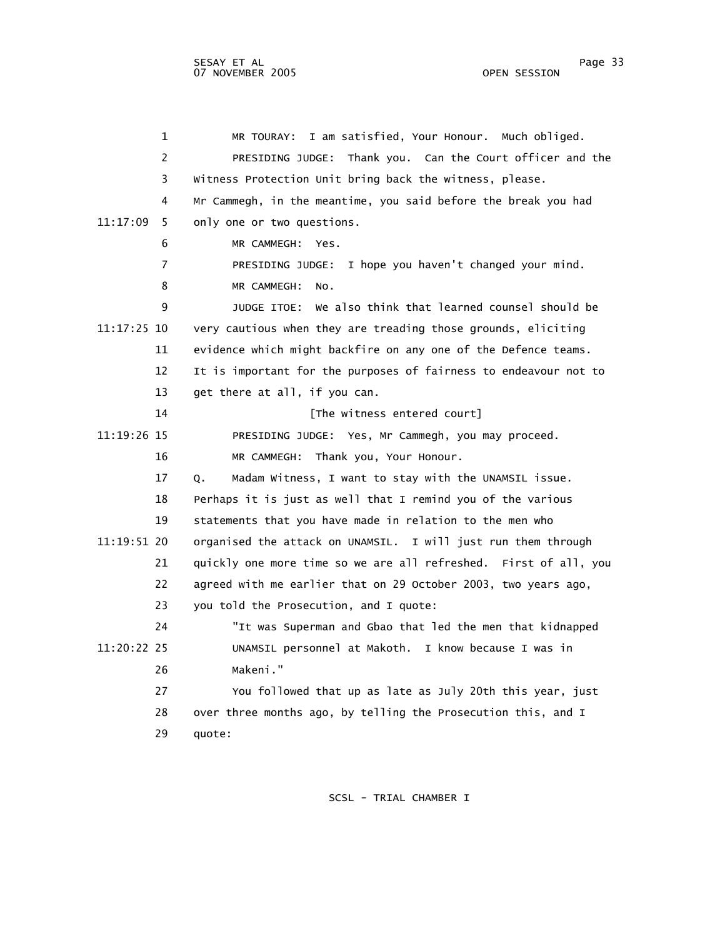1 MR TOURAY: I am satisfied, Your Honour. Much obliged. 2 PRESIDING JUDGE: Thank you. Can the Court officer and the 3 Witness Protection Unit bring back the witness, please. 4 Mr Cammegh, in the meantime, you said before the break you had 11:17:09 5 only one or two questions. 6 MR CAMMEGH: Yes. 7 PRESIDING JUDGE: I hope you haven't changed your mind. 8 MR CAMMEGH: No. 9 JUDGE ITOE: We also think that learned counsel should be 11:17:25 10 very cautious when they are treading those grounds, eliciting 11 evidence which might backfire on any one of the Defence teams. 12 It is important for the purposes of fairness to endeavour not to 13 get there at all, if you can. 14 **14 I** [The witness entered court] 11:19:26 15 PRESIDING JUDGE: Yes, Mr Cammegh, you may proceed. 16 MR CAMMEGH: Thank you, Your Honour. 17 Q. Madam Witness, I want to stay with the UNAMSIL issue. 18 Perhaps it is just as well that I remind you of the various 19 statements that you have made in relation to the men who 11:19:51 20 organised the attack on UNAMSIL. I will just run them through 21 quickly one more time so we are all refreshed. First of all, you 22 agreed with me earlier that on 29 October 2003, two years ago, 23 you told the Prosecution, and I quote: 24 "It was Superman and Gbao that led the men that kidnapped 11:20:22 25 UNAMSIL personnel at Makoth. I know because I was in 26 Makeni." 27 You followed that up as late as July 20th this year, just 28 over three months ago, by telling the Prosecution this, and I 29 quote: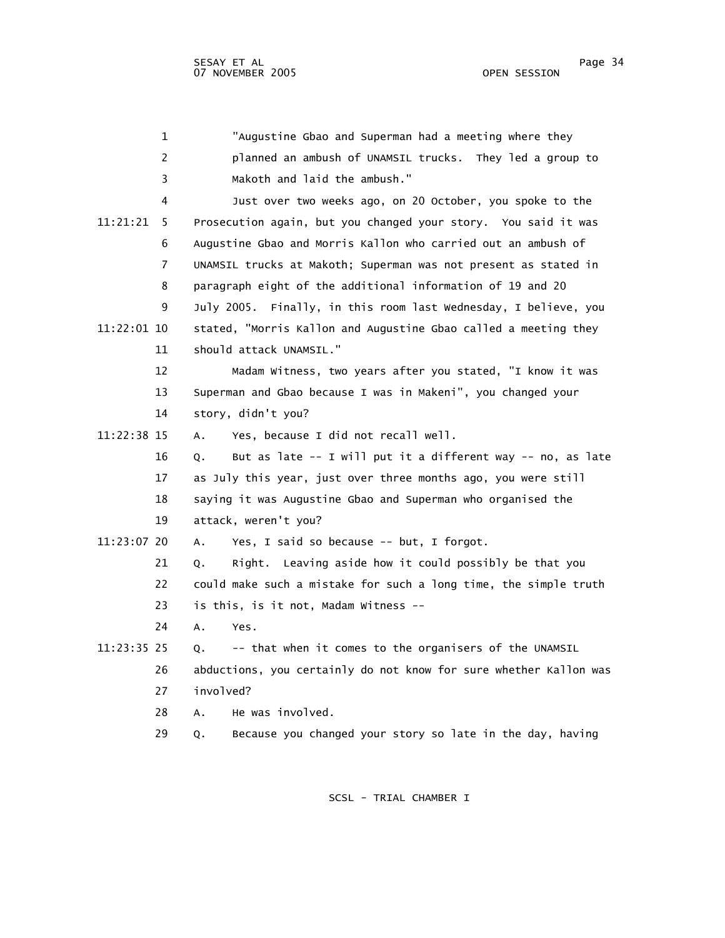|             | $\mathbf 1$ | "Augustine Gbao and Superman had a meeting where they             |
|-------------|-------------|-------------------------------------------------------------------|
|             | 2           | planned an ambush of UNAMSIL trucks. They led a group to          |
|             | 3           | Makoth and laid the ambush."                                      |
|             | 4           | Just over two weeks ago, on 20 October, you spoke to the          |
| 11:21:21    | 5           | Prosecution again, but you changed your story. You said it was    |
|             | 6           | Augustine Gbao and Morris Kallon who carried out an ambush of     |
|             | 7           | UNAMSIL trucks at Makoth; Superman was not present as stated in   |
|             | 8           | paragraph eight of the additional information of 19 and 20        |
|             | 9           | July 2005. Finally, in this room last Wednesday, I believe, you   |
| 11:22:01 10 |             | stated, "Morris Kallon and Augustine Gbao called a meeting they   |
|             | 11          | should attack UNAMSIL."                                           |
|             | 12          | Madam Witness, two years after you stated, "I know it was         |
|             | 13          | Superman and Gbao because I was in Makeni", you changed your      |
|             | 14          | story, didn't you?                                                |
| 11:22:38 15 |             | Yes, because I did not recall well.<br>А.                         |
|             | 16          | But as late -- I will put it a different way -- no, as late<br>Q. |
|             | 17          | as July this year, just over three months ago, you were still     |
|             | 18          | saying it was Augustine Gbao and Superman who organised the       |
|             | 19          | attack, weren't you?                                              |
| 11:23:07 20 |             | Yes, I said so because -- but, I forgot.<br>А.                    |
|             | 21          | Right. Leaving aside how it could possibly be that you<br>Q.      |
|             | 22          | could make such a mistake for such a long time, the simple truth  |
|             | 23          | is this, is it not, Madam Witness --                              |
|             | 24          | Α.<br>Yes.                                                        |
| 11:23:35 25 |             | -- that when it comes to the organisers of the UNAMSIL<br>Q.      |
|             | 26          | abductions, you certainly do not know for sure whether Kallon was |
|             | 27          | involved?                                                         |
|             | 28          | He was involved.<br>А.                                            |
|             | 29          | Because you changed your story so late in the day, having<br>Q.   |
|             |             |                                                                   |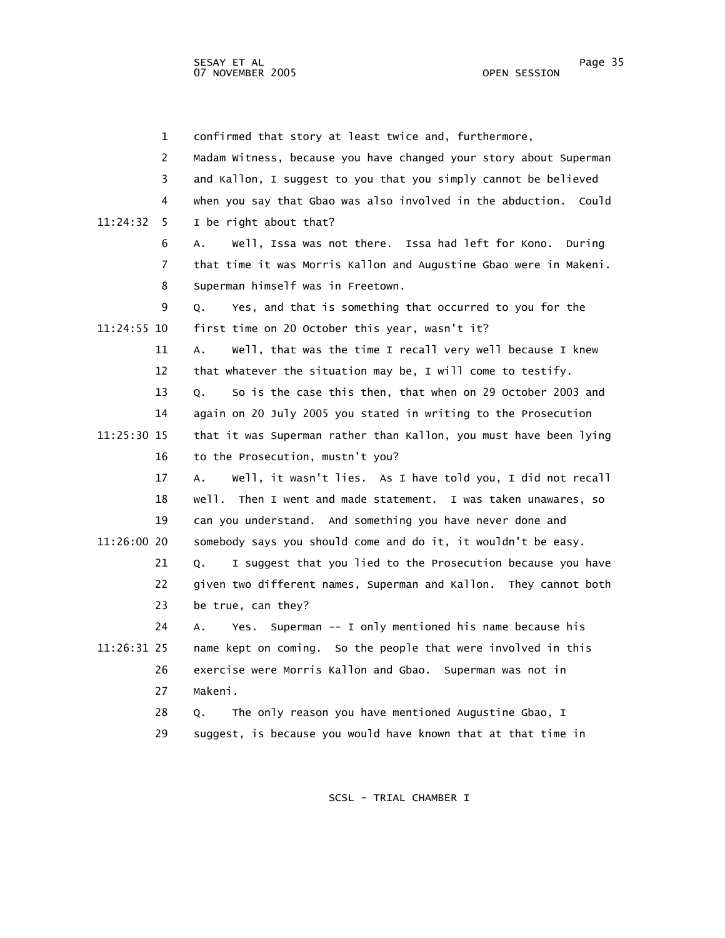1 confirmed that story at least twice and, furthermore, 2 Madam Witness, because you have changed your story about Superman 3 and Kallon, I suggest to you that you simply cannot be believed 4 when you say that Gbao was also involved in the abduction. Could 11:24:32 5 I be right about that? 6 A. Well, Issa was not there. Issa had left for Kono. During 7 that time it was Morris Kallon and Augustine Gbao were in Makeni. 8 Superman himself was in Freetown. 9 Q. Yes, and that is something that occurred to you for the 11:24:55 10 first time on 20 October this year, wasn't it? 11 A. Well, that was the time I recall very well because I knew 12 that whatever the situation may be, I will come to testify. 13 Q. So is the case this then, that when on 29 October 2003 and 14 again on 20 July 2005 you stated in writing to the Prosecution 11:25:30 15 that it was Superman rather than Kallon, you must have been lying 16 to the Prosecution, mustn't you? 17 A. Well, it wasn't lies. As I have told you, I did not recall 18 well. Then I went and made statement. I was taken unawares, so 19 can you understand. And something you have never done and 11:26:00 20 somebody says you should come and do it, it wouldn't be easy. 21 Q. I suggest that you lied to the Prosecution because you have 22 given two different names, Superman and Kallon. They cannot both 23 be true, can they? 24 A. Yes. Superman -- I only mentioned his name because his 11:26:31 25 name kept on coming. So the people that were involved in this 26 exercise were Morris Kallon and Gbao. Superman was not in 27 Makeni. 28 Q. The only reason you have mentioned Augustine Gbao, I 29 suggest, is because you would have known that at that time in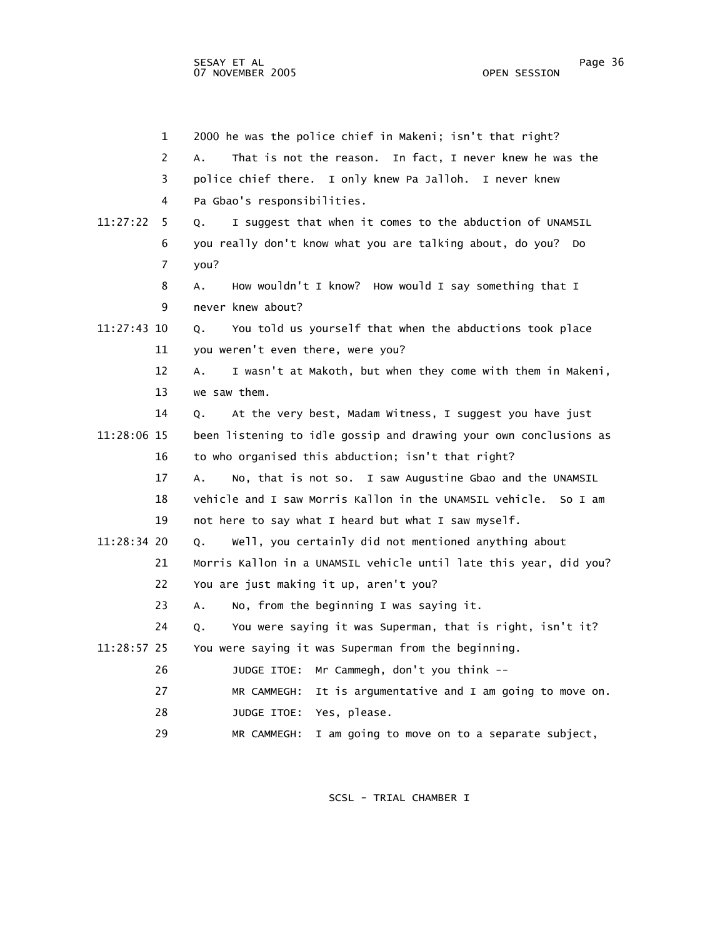1 2000 he was the police chief in Makeni; isn't that right? 2 A. That is not the reason. In fact, I never knew he was the 3 police chief there. I only knew Pa Jalloh. I never knew 4 Pa Gbao's responsibilities. 11:27:22 5 Q. I suggest that when it comes to the abduction of UNAMSIL 6 you really don't know what you are talking about, do you? Do 7 you? 8 A. How wouldn't I know? How would I say something that I 9 never knew about? 11:27:43 10 Q. You told us yourself that when the abductions took place 11 you weren't even there, were you? 12 A. I wasn't at Makoth, but when they come with them in Makeni, 13 we saw them. 14 Q. At the very best, Madam Witness, I suggest you have just 11:28:06 15 been listening to idle gossip and drawing your own conclusions as 16 to who organised this abduction; isn't that right? 17 A. No, that is not so. I saw Augustine Gbao and the UNAMSIL 18 vehicle and I saw Morris Kallon in the UNAMSIL vehicle. So I am 19 not here to say what I heard but what I saw myself. 11:28:34 20 Q. Well, you certainly did not mentioned anything about 21 Morris Kallon in a UNAMSIL vehicle until late this year, did you? 22 You are just making it up, aren't you? 23 A. No, from the beginning I was saying it. 24 Q. You were saying it was Superman, that is right, isn't it? 11:28:57 25 You were saying it was Superman from the beginning. 26 JUDGE ITOE: Mr Cammegh, don't you think -- 27 MR CAMMEGH: It is argumentative and I am going to move on. 28 JUDGE ITOE: Yes, please. 29 MR CAMMEGH: I am going to move on to a separate subject,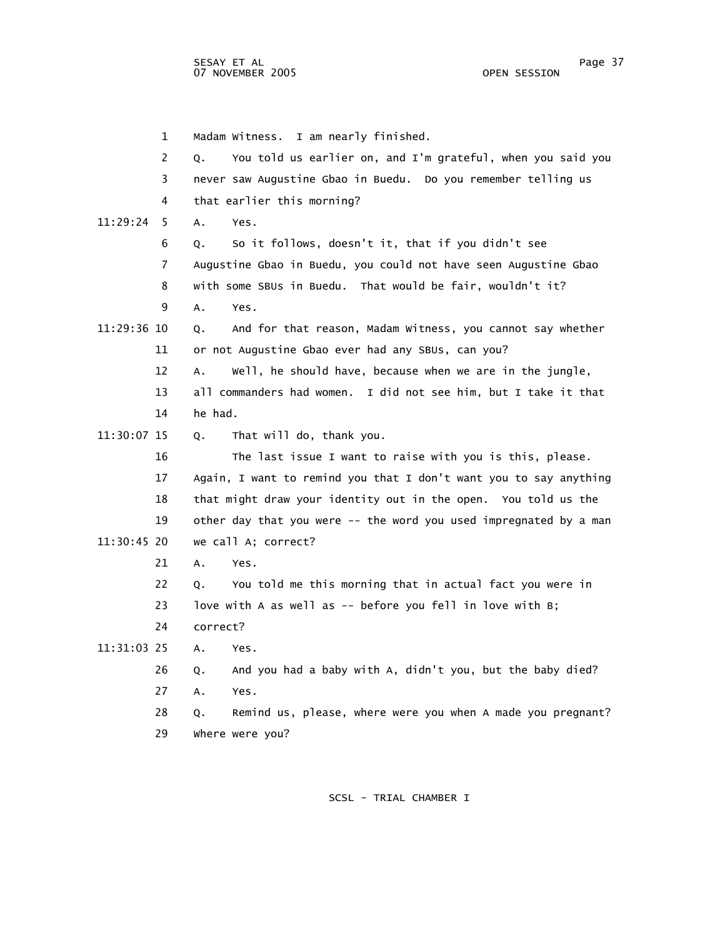1 Madam Witness. I am nearly finished. 2 Q. You told us earlier on, and I'm grateful, when you said you 3 never saw Augustine Gbao in Buedu. Do you remember telling us 4 that earlier this morning? 11:29:24 5 A. Yes. 6 Q. So it follows, doesn't it, that if you didn't see 7 Augustine Gbao in Buedu, you could not have seen Augustine Gbao 8 with some SBUs in Buedu. That would be fair, wouldn't it? 9 A. Yes. 11:29:36 10 Q. And for that reason, Madam Witness, you cannot say whether 11 or not Augustine Gbao ever had any SBUs, can you? 12 A. Well, he should have, because when we are in the jungle, 13 all commanders had women. I did not see him, but I take it that 14 he had. 11:30:07 15 Q. That will do, thank you. 16 The last issue I want to raise with you is this, please. 17 Again, I want to remind you that I don't want you to say anything 18 that might draw your identity out in the open. You told us the 19 other day that you were -- the word you used impregnated by a man 11:30:45 20 we call A; correct? 21 A. Yes. 22 Q. You told me this morning that in actual fact you were in 23 love with A as well as -- before you fell in love with B; 24 correct? 11:31:03 25 A. Yes. 26 Q. And you had a baby with A, didn't you, but the baby died? 27 A. Yes. 28 Q. Remind us, please, where were you when A made you pregnant? 29 Where were you?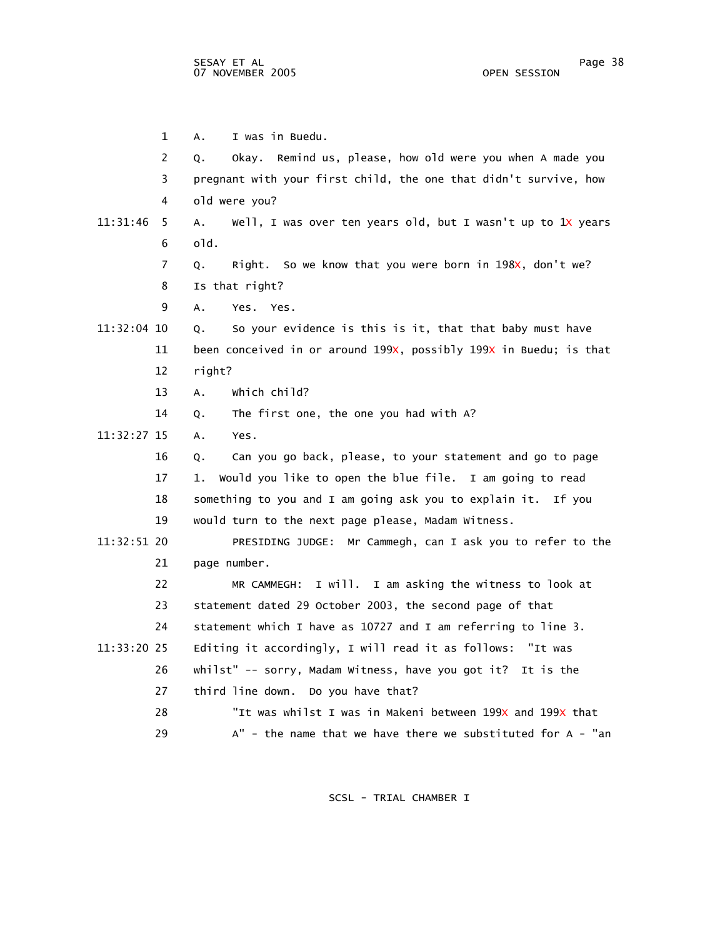1 A. I was in Buedu. 2 Q. Okay. Remind us, please, how old were you when A made you 3 pregnant with your first child, the one that didn't survive, how 4 old were you? 11:31:46 5 A. Well, I was over ten years old, but I wasn't up to 1X years 6 old. 7 Q. Right. So we know that you were born in 198x, don't we? 8 Is that right? 9 A. Yes. Yes. 11:32:04 10 Q. So your evidence is this is it, that that baby must have 11 been conceived in or around 199X, possibly 199X in Buedu; is that 12 right? 13 A. Which child? 14 Q. The first one, the one you had with A? 11:32:27 15 A. Yes. 16 Q. Can you go back, please, to your statement and go to page 17 1. Would you like to open the blue file. I am going to read 18 something to you and I am going ask you to explain it. If you 19 would turn to the next page please, Madam Witness. 11:32:51 20 PRESIDING JUDGE: Mr Cammegh, can I ask you to refer to the 21 page number. 22 MR CAMMEGH: I will. I am asking the witness to look at 23 statement dated 29 October 2003, the second page of that 24 statement which I have as 10727 and I am referring to line 3. 11:33:20 25 Editing it accordingly, I will read it as follows: "It was 26 whilst" -- sorry, Madam Witness, have you got it? It is the 27 third line down. Do you have that? 28 "It was whilst I was in Makeni between 199X and 199X that 29 A" - the name that we have there we substituted for A - "an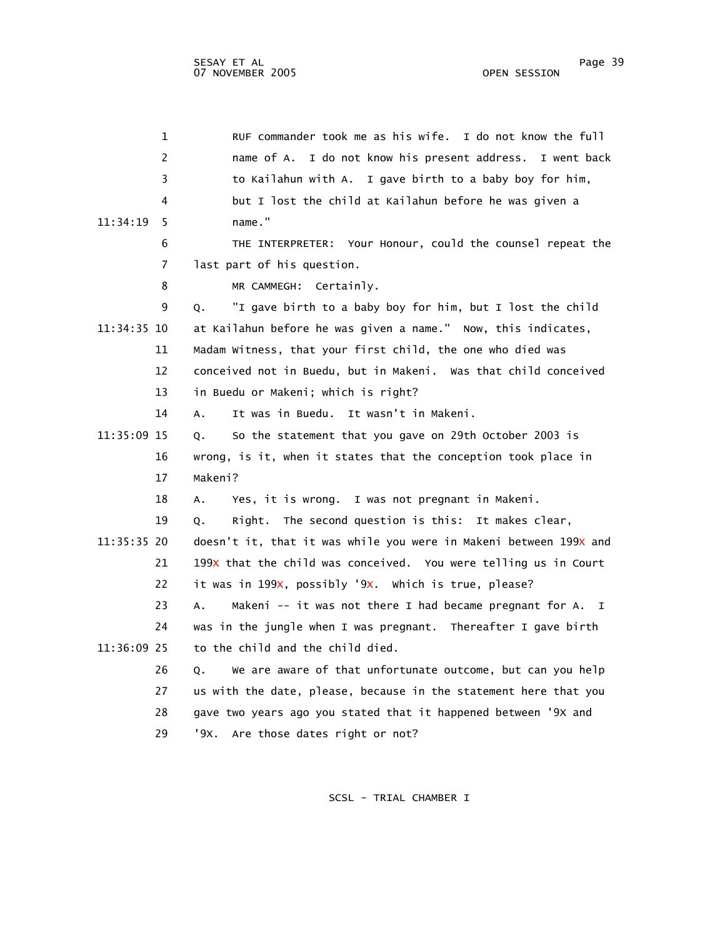| $\mathbf{1}$  | RUF commander took me as his wife. I do not know the full         |
|---------------|-------------------------------------------------------------------|
| 2             | name of A. I do not know his present address. I went back         |
| 3             | to Kailahun with A. I gave birth to a baby boy for him,           |
| 4             | but I lost the child at Kailahun before he was given a            |
| 11:34:19<br>5 | name."                                                            |
| 6             | THE INTERPRETER: Your Honour, could the counsel repeat the        |
| 7             | last part of his question.                                        |
| 8             | MR CAMMEGH: Certainly.                                            |
| 9             | "I gave birth to a baby boy for him, but I lost the child<br>Q.   |
| 11:34:35 10   | at Kailahun before he was given a name." Now, this indicates,     |
| 11            | Madam Witness, that your first child, the one who died was        |
| 12            | conceived not in Buedu, but in Makeni. Was that child conceived   |
| 13            | in Buedu or Makeni; which is right?                               |
| 14            | It was in Buedu. It wasn't in Makeni.<br>А.                       |
| 11:35:09 15   | So the statement that you gave on 29th October 2003 is<br>Q.      |
| 16            | wrong, is it, when it states that the conception took place in    |
| 17            | Makeni?                                                           |
| 18            | Yes, it is wrong. I was not pregnant in Makeni.<br>А.             |
| 19            | Right. The second question is this: It makes clear,<br>О.         |
| 11:35:35 20   | doesn't it, that it was while you were in Makeni between 199x and |
| 21            | 199x that the child was conceived. You were telling us in Court   |
| 22            | it was in 199X, possibly '9X. Which is true, please?              |
| 23            | Makeni -- it was not there I had became pregnant for A. I<br>А.   |
| 24            | was in the jungle when I was pregnant. Thereafter I gave birth    |
| 11:36:09 25   | to the child and the child died.                                  |
| 26            | We are aware of that unfortunate outcome, but can you help<br>Q.  |
| 27            | us with the date, please, because in the statement here that you  |
| 28            | gave two years ago you stated that it happened between '9x and    |
| 29            | '9X. Are those dates right or not?                                |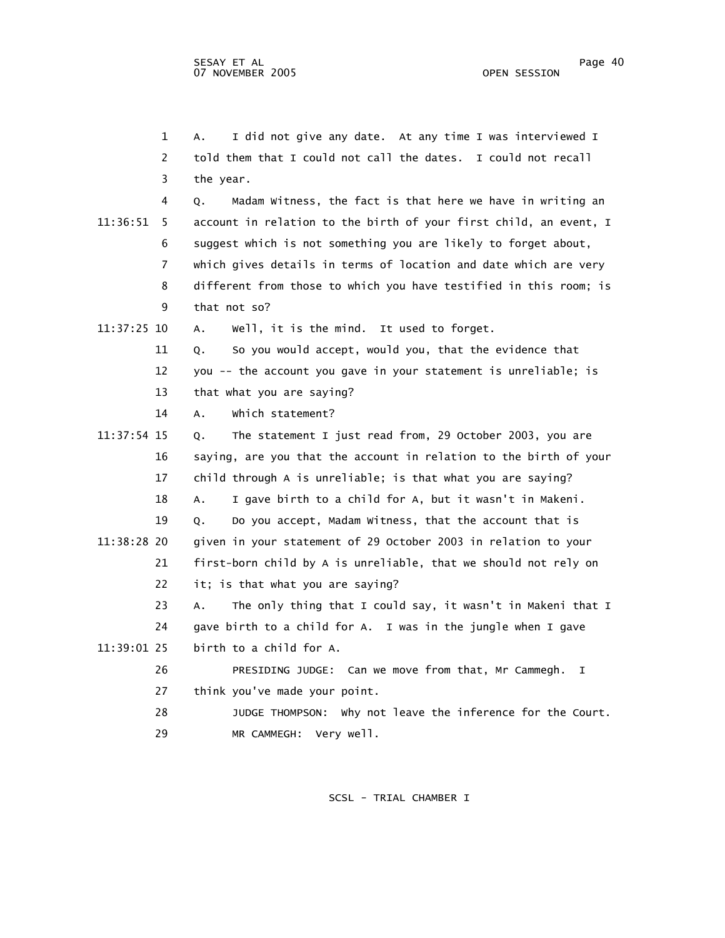|             | $\mathbf 1$    | I did not give any date. At any time I was interviewed I<br>Α.    |
|-------------|----------------|-------------------------------------------------------------------|
|             | $\overline{2}$ | told them that I could not call the dates. I could not recall     |
|             | 3              | the year.                                                         |
|             | 4              | Madam Witness, the fact is that here we have in writing an<br>Q.  |
| 11:36:51    | 5              | account in relation to the birth of your first child, an event, I |
|             | 6              | suggest which is not something you are likely to forget about,    |
|             | $\overline{7}$ | which gives details in terms of location and date which are very  |
|             | 8              | different from those to which you have testified in this room; is |
|             | 9              | that not so?                                                      |
| 11:37:25 10 |                | Well, it is the mind. It used to forget.<br>А.                    |
|             | 11             | So you would accept, would you, that the evidence that<br>Q.      |
|             | 12             | you -- the account you gave in your statement is unreliable; is   |
|             | 13             | that what you are saying?                                         |
|             | 14             | which statement?<br>A.                                            |
| 11:37:54 15 |                | The statement I just read from, 29 October 2003, you are<br>Q.    |
|             | 16             | saying, are you that the account in relation to the birth of your |
|             | 17             | child through A is unreliable; is that what you are saying?       |
|             | 18             | I gave birth to a child for A, but it wasn't in Makeni.<br>А.     |
|             | 19             | Do you accept, Madam Witness, that the account that is<br>Q.      |
| 11:38:28 20 |                | given in your statement of 29 October 2003 in relation to your    |
|             | 21             | first-born child by A is unreliable, that we should not rely on   |
|             | 22             | it; is that what you are saying?                                  |
|             | 23             | The only thing that I could say, it wasn't in Makeni that I<br>А. |
|             | 24             | gave birth to a child for A. I was in the jungle when I gave      |
| 11:39:01 25 |                | birth to a child for A.                                           |
|             | 26             | PRESIDING JUDGE: Can we move from that, Mr Cammegh.<br>I.         |
|             | 27             | think you've made your point.                                     |
|             | 28             | JUDGE THOMPSON: Why not leave the inference for the Court.        |
|             | 29             | Very well.<br>MR CAMMEGH:                                         |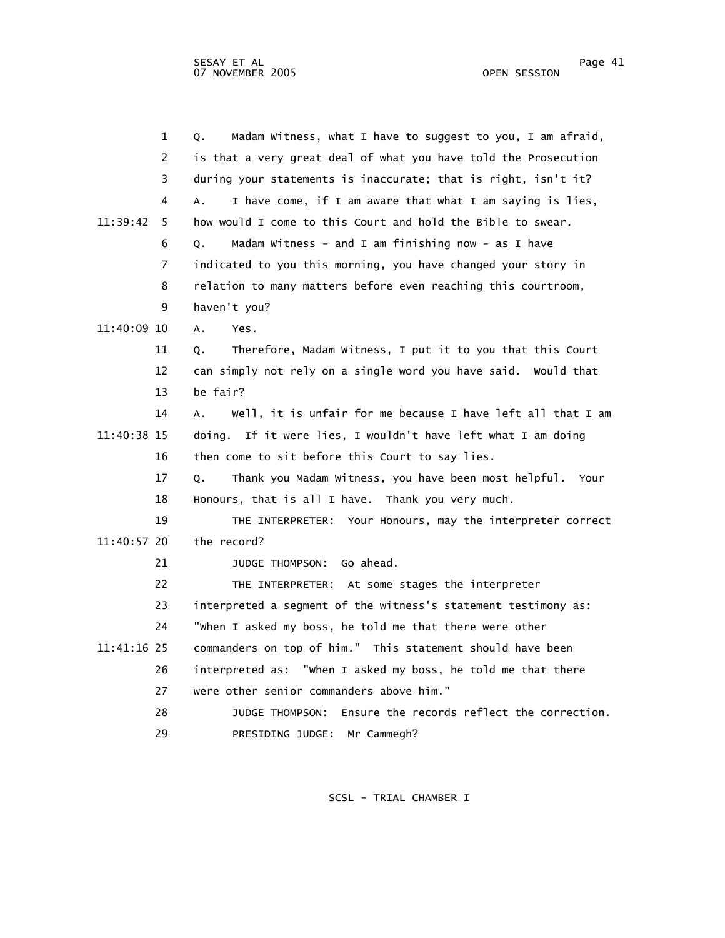|             | $\mathbf 1$ | Madam Witness, what I have to suggest to you, I am afraid,<br>О.   |
|-------------|-------------|--------------------------------------------------------------------|
|             | 2           | is that a very great deal of what you have told the Prosecution    |
|             | 3           | during your statements is inaccurate; that is right, isn't it?     |
|             | 4           | I have come, if I am aware that what I am saying is lies,<br>A.    |
| 11:39:42    | 5           | how would I come to this Court and hold the Bible to swear.        |
|             | 6           | Madam Witness - and I am finishing now - as I have<br>Q.           |
|             | 7           | indicated to you this morning, you have changed your story in      |
|             | 8           | relation to many matters before even reaching this courtroom,      |
|             | 9           | haven't you?                                                       |
| 11:40:09 10 |             | $A_{\bullet}$<br>Yes.                                              |
|             | 11          | Therefore, Madam Witness, I put it to you that this Court<br>Q.    |
|             | 12          | can simply not rely on a single word you have said. Would that     |
|             | 13          | be fair?                                                           |
|             | 14          | Well, it is unfair for me because I have left all that I am<br>Α.  |
| 11:40:38 15 |             | doing. If it were lies, I wouldn't have left what I am doing       |
|             | 16          | then come to sit before this Court to say lies.                    |
|             | 17          | Thank you Madam Witness, you have been most helpful.<br>0.<br>Your |
|             | 18          | Honours, that is all I have. Thank you very much.                  |
|             | 19          | THE INTERPRETER: Your Honours, may the interpreter correct         |
| 11:40:57 20 |             | the record?                                                        |
|             | 21          | JUDGE THOMPSON: Go ahead.                                          |
|             | 22          | THE INTERPRETER: At some stages the interpreter                    |
|             | 23          | interpreted a segment of the witness's statement testimony as:     |
|             | 24          | "when I asked my boss, he told me that there were other            |
| 11:41:16 25 |             | commanders on top of him." This statement should have been         |
|             | 26          | interpreted as: "when I asked my boss, he told me that there       |
|             | 27          | were other senior commanders above him."                           |
|             | 28          | Ensure the records reflect the correction.<br>JUDGE THOMPSON:      |
|             | 29          | PRESIDING JUDGE: Mr Cammegh?                                       |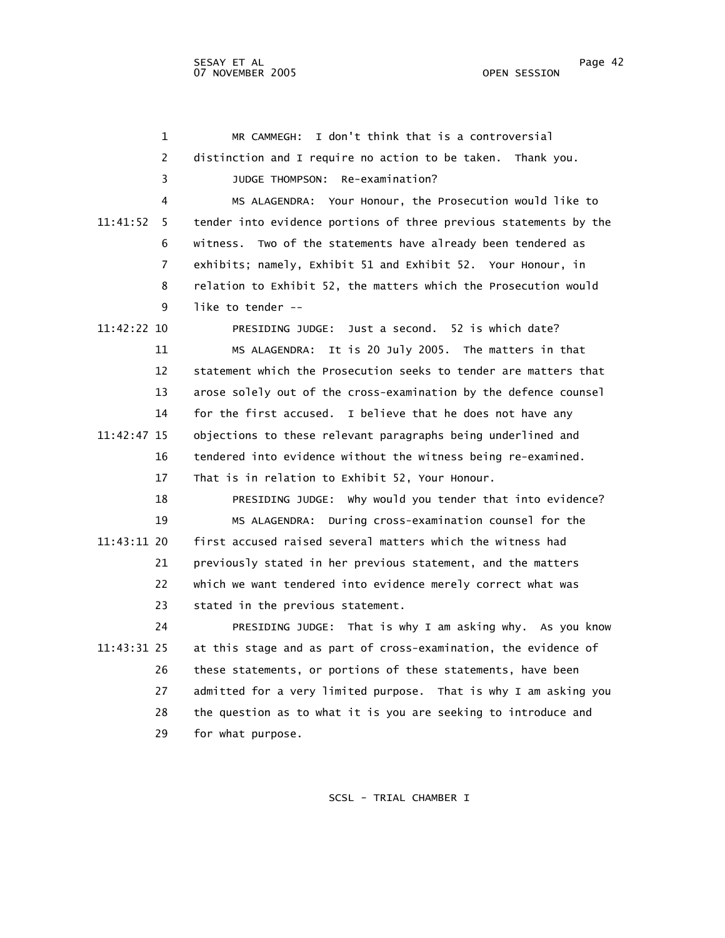| $\mathbf 1$    | I don't think that is a controversial<br>MR CAMMEGH:              |
|----------------|-------------------------------------------------------------------|
| 2              | distinction and I require no action to be taken. Thank you.       |
| 3              | JUDGE THOMPSON: Re-examination?                                   |
| 4              | MS ALAGENDRA: Your Honour, the Prosecution would like to          |
| 11:41:52<br>5. | tender into evidence portions of three previous statements by the |
| 6              | witness. Two of the statements have already been tendered as      |
| 7              | exhibits; namely, Exhibit 51 and Exhibit 52. Your Honour, in      |
| 8              | relation to Exhibit 52, the matters which the Prosecution would   |
| 9              | like to tender --                                                 |
| 11:42:22 10    | PRESIDING JUDGE: Just a second. 52 is which date?                 |
| 11             | MS ALAGENDRA: It is 20 July 2005. The matters in that             |
| 12             | statement which the Prosecution seeks to tender are matters that  |
| 13             | arose solely out of the cross-examination by the defence counsel  |
| 14             | for the first accused. I believe that he does not have any        |
| 11:42:47 15    | objections to these relevant paragraphs being underlined and      |
| 16             | tendered into evidence without the witness being re-examined.     |
| 17             | That is in relation to Exhibit 52, Your Honour.                   |
| 18             | PRESIDING JUDGE: why would you tender that into evidence?         |
| 19             | MS ALAGENDRA: During cross-examination counsel for the            |
| 11:43:11 20    | first accused raised several matters which the witness had        |
| 21             | previously stated in her previous statement, and the matters      |
| 22             | which we want tendered into evidence merely correct what was      |
| 23             | stated in the previous statement.                                 |
| 24             | PRESIDING JUDGE: That is why I am asking why. As you know         |
| 11:43:31 25    | at this stage and as part of cross-examination, the evidence of   |
| 26             | these statements, or portions of these statements, have been      |
| 27             | admitted for a very limited purpose. That is why I am asking you  |
| 28             | the question as to what it is you are seeking to introduce and    |
| 29             | for what purpose.                                                 |
|                |                                                                   |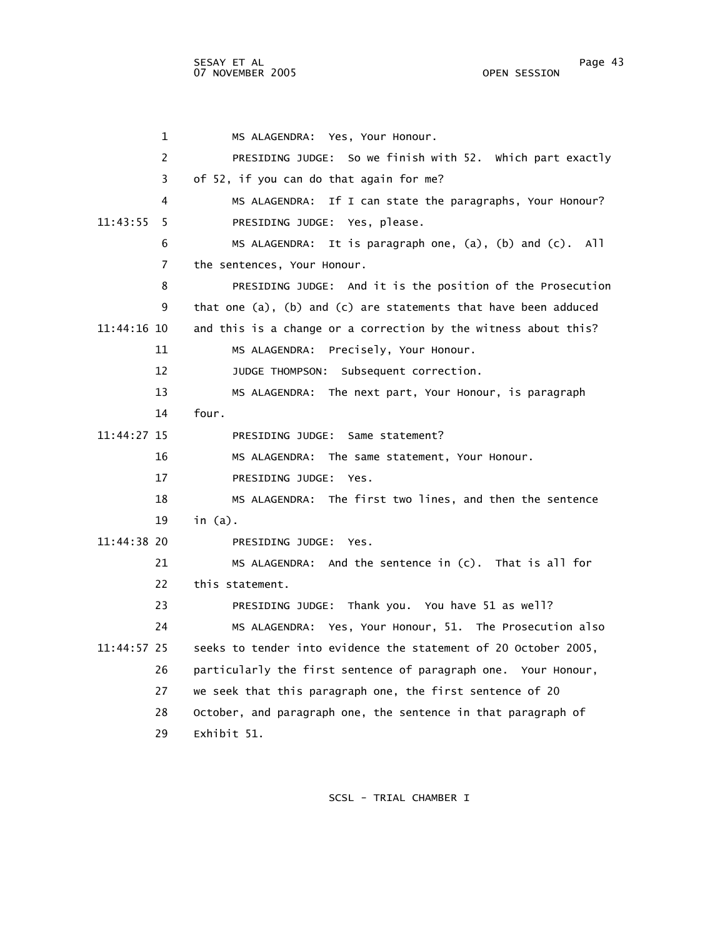1 MS ALAGENDRA: Yes, Your Honour. 2 PRESIDING JUDGE: So we finish with 52. Which part exactly 3 of 52, if you can do that again for me? 4 MS ALAGENDRA: If I can state the paragraphs, Your Honour? 11:43:55 5 PRESIDING JUDGE: Yes, please. 6 MS ALAGENDRA: It is paragraph one, (a), (b) and (c). All 7 the sentences, Your Honour. 8 PRESIDING JUDGE: And it is the position of the Prosecution 9 that one (a), (b) and (c) are statements that have been adduced 11:44:16 10 and this is a change or a correction by the witness about this? 11 MS ALAGENDRA: Precisely, Your Honour. 12 JUDGE THOMPSON: Subsequent correction. 13 MS ALAGENDRA: The next part, Your Honour, is paragraph 14 four. 11:44:27 15 PRESIDING JUDGE: Same statement? 16 MS ALAGENDRA: The same statement, Your Honour. 17 PRESIDING JUDGE: Yes. 18 MS ALAGENDRA: The first two lines, and then the sentence 19 in (a). 11:44:38 20 PRESIDING JUDGE: Yes. 21 MS ALAGENDRA: And the sentence in (c). That is all for 22 this statement. 23 PRESIDING JUDGE: Thank you. You have 51 as well? 24 MS ALAGENDRA: Yes, Your Honour, 51. The Prosecution also 11:44:57 25 seeks to tender into evidence the statement of 20 October 2005, 26 particularly the first sentence of paragraph one. Your Honour, 27 we seek that this paragraph one, the first sentence of 20 28 October, and paragraph one, the sentence in that paragraph of 29 Exhibit 51.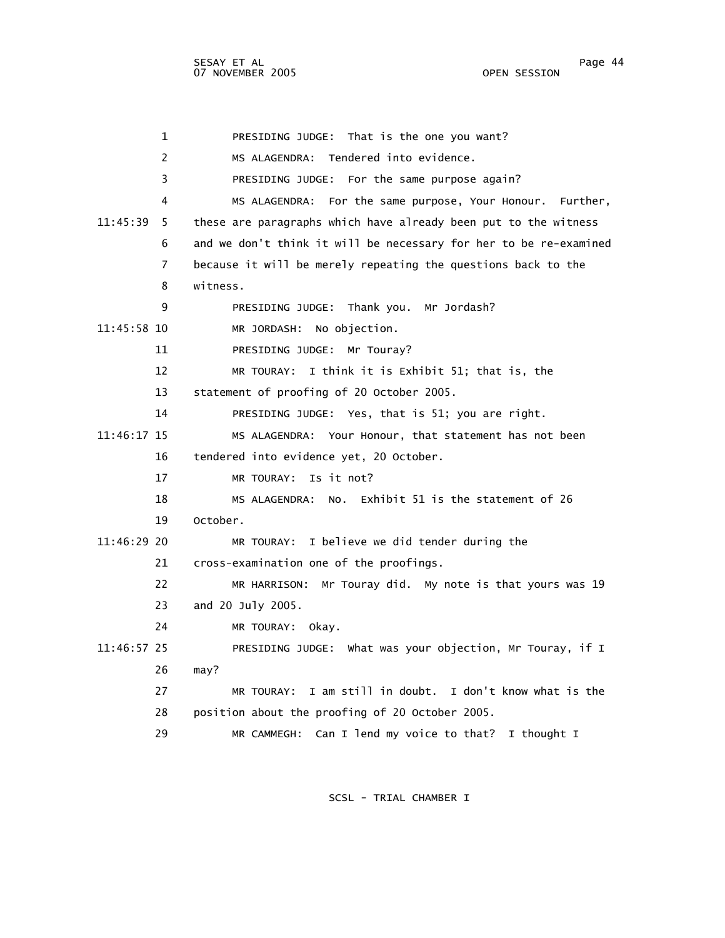1 PRESIDING JUDGE: That is the one you want? 2 MS ALAGENDRA: Tendered into evidence. 3 PRESIDING JUDGE: For the same purpose again? 4 MS ALAGENDRA: For the same purpose, Your Honour. Further, 11:45:39 5 these are paragraphs which have already been put to the witness 6 and we don't think it will be necessary for her to be re-examined 7 because it will be merely repeating the questions back to the 8 witness. 9 PRESIDING JUDGE: Thank you. Mr Jordash? 11:45:58 10 MR JORDASH: No objection. 11 PRESIDING JUDGE: Mr Touray? 12 MR TOURAY: I think it is Exhibit 51; that is, the 13 statement of proofing of 20 October 2005. 14 PRESIDING JUDGE: Yes, that is 51; you are right. 11:46:17 15 MS ALAGENDRA: Your Honour, that statement has not been 16 tendered into evidence yet, 20 October. 17 MR TOURAY: Is it not? 18 MS ALAGENDRA: No. Exhibit 51 is the statement of 26 19 October. 11:46:29 20 MR TOURAY: I believe we did tender during the 21 cross-examination one of the proofings. 22 MR HARRISON: Mr Touray did. My note is that yours was 19 23 and 20 July 2005. 24 MR TOURAY: Okay. 11:46:57 25 PRESIDING JUDGE: What was your objection, Mr Touray, if I 26 may? 27 MR TOURAY: I am still in doubt. I don't know what is the 28 position about the proofing of 20 October 2005. 29 MR CAMMEGH: Can I lend my voice to that? I thought I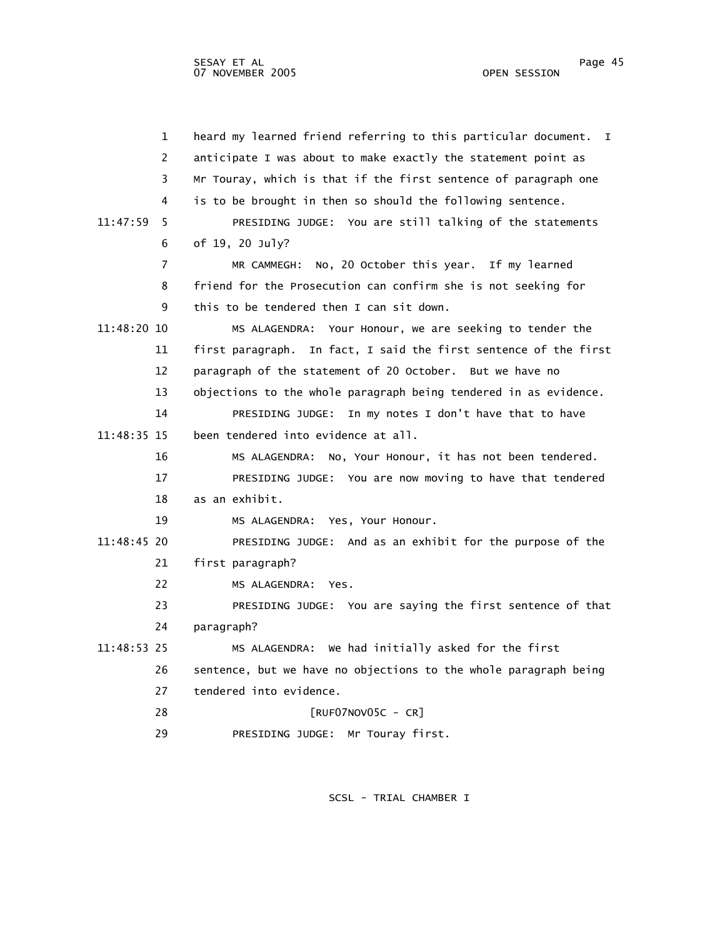1 heard my learned friend referring to this particular document. I 2 anticipate I was about to make exactly the statement point as 3 Mr Touray, which is that if the first sentence of paragraph one 4 is to be brought in then so should the following sentence. 11:47:59 5 PRESIDING JUDGE: You are still talking of the statements 6 of 19, 20 July? 7 MR CAMMEGH: No, 20 October this year. If my learned 8 friend for the Prosecution can confirm she is not seeking for 9 this to be tendered then I can sit down. 11:48:20 10 MS ALAGENDRA: Your Honour, we are seeking to tender the 11 first paragraph. In fact, I said the first sentence of the first 12 paragraph of the statement of 20 October. But we have no 13 objections to the whole paragraph being tendered in as evidence. 14 PRESIDING JUDGE: In my notes I don't have that to have 11:48:35 15 been tendered into evidence at all. 16 MS ALAGENDRA: No, Your Honour, it has not been tendered. 17 PRESIDING JUDGE: You are now moving to have that tendered 18 as an exhibit. 19 MS ALAGENDRA: Yes, Your Honour. 11:48:45 20 PRESIDING JUDGE: And as an exhibit for the purpose of the 21 first paragraph? 22 MS ALAGENDRA: Yes. 23 PRESIDING JUDGE: You are saying the first sentence of that 24 paragraph? 11:48:53 25 MS ALAGENDRA: We had initially asked for the first 26 sentence, but we have no objections to the whole paragraph being 27 tendered into evidence. 28 [RUF07NOV05C - CR] 29 PRESIDING JUDGE: Mr Touray first.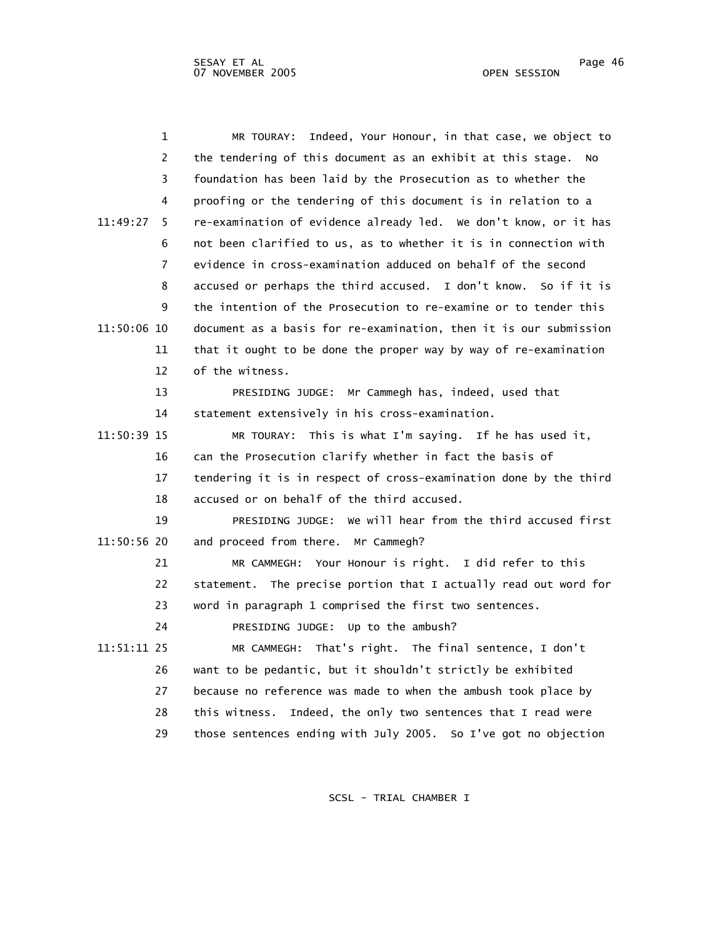| $\mathbf 1$    | Indeed, Your Honour, in that case, we object to<br>MR TOURAY:     |
|----------------|-------------------------------------------------------------------|
| 2              | the tendering of this document as an exhibit at this stage.<br>No |
| 3              | foundation has been laid by the Prosecution as to whether the     |
| 4              | proofing or the tendering of this document is in relation to a    |
| 11:49:27<br>5  | re-examination of evidence already led. We don't know, or it has  |
| 6              | not been clarified to us, as to whether it is in connection with  |
| $\overline{7}$ | evidence in cross-examination adduced on behalf of the second     |
| 8              | accused or perhaps the third accused. I don't know. So if it is   |
| 9              | the intention of the Prosecution to re-examine or to tender this  |
| 11:50:06 10    | document as a basis for re-examination, then it is our submission |
| 11             | that it ought to be done the proper way by way of re-examination  |
| 12             | of the witness.                                                   |
| 13             | PRESIDING JUDGE: Mr Cammegh has, indeed, used that                |
| 14             | statement extensively in his cross-examination.                   |
| 11:50:39 15    | MR TOURAY: This is what I'm saying. If he has used it,            |
| 16             | can the Prosecution clarify whether in fact the basis of          |
| 17             | tendering it is in respect of cross-examination done by the third |
| 18             | accused or on behalf of the third accused.                        |
| 19             | PRESIDING JUDGE: We will hear from the third accused first        |
| 11:50:56 20    | and proceed from there. Mr Cammegh?                               |
| 21             | MR CAMMEGH: Your Honour is right. I did refer to this             |
| 22             | statement. The precise portion that I actually read out word for  |
| 23             | word in paragraph 1 comprised the first two sentences.            |
| 24             | PRESIDING JUDGE: Up to the ambush?                                |
| 11:51:11 25    | That's right. The final sentence, I don't<br>MR CAMMEGH:          |
| 26             | want to be pedantic, but it shouldn't strictly be exhibited       |
| 27             | because no reference was made to when the ambush took place by    |
| 28             | this witness. Indeed, the only two sentences that I read were     |
| 29             | those sentences ending with July 2005. So I've got no objection   |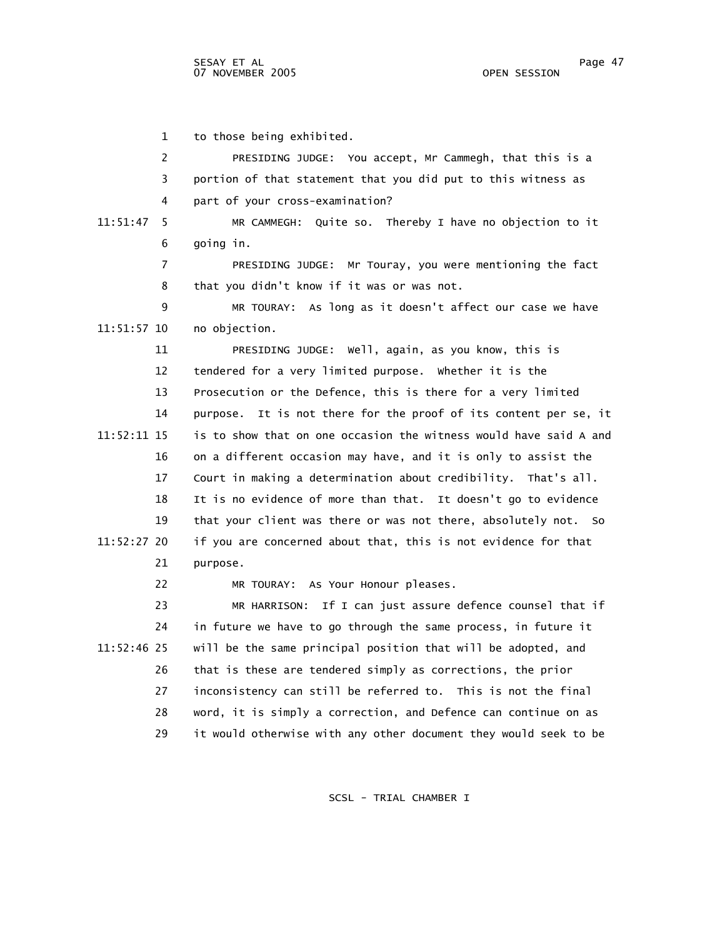1 to those being exhibited.

 2 PRESIDING JUDGE: You accept, Mr Cammegh, that this is a 3 portion of that statement that you did put to this witness as 4 part of your cross-examination? 11:51:47 5 MR CAMMEGH: Quite so. Thereby I have no objection to it 6 going in. 7 PRESIDING JUDGE: Mr Touray, you were mentioning the fact 8 that you didn't know if it was or was not. 9 MR TOURAY: As long as it doesn't affect our case we have 11:51:57 10 no objection. 11 PRESIDING JUDGE: Well, again, as you know, this is 12 tendered for a very limited purpose. Whether it is the 13 Prosecution or the Defence, this is there for a very limited 14 purpose. It is not there for the proof of its content per se, it 11:52:11 15 is to show that on one occasion the witness would have said A and 16 on a different occasion may have, and it is only to assist the 17 Court in making a determination about credibility. That's all. 18 It is no evidence of more than that. It doesn't go to evidence 19 that your client was there or was not there, absolutely not. So 11:52:27 20 if you are concerned about that, this is not evidence for that 21 purpose. 22 MR TOURAY: As Your Honour pleases. 23 MR HARRISON: If I can just assure defence counsel that if 24 in future we have to go through the same process, in future it 11:52:46 25 will be the same principal position that will be adopted, and

 26 that is these are tendered simply as corrections, the prior 27 inconsistency can still be referred to. This is not the final 28 word, it is simply a correction, and Defence can continue on as 29 it would otherwise with any other document they would seek to be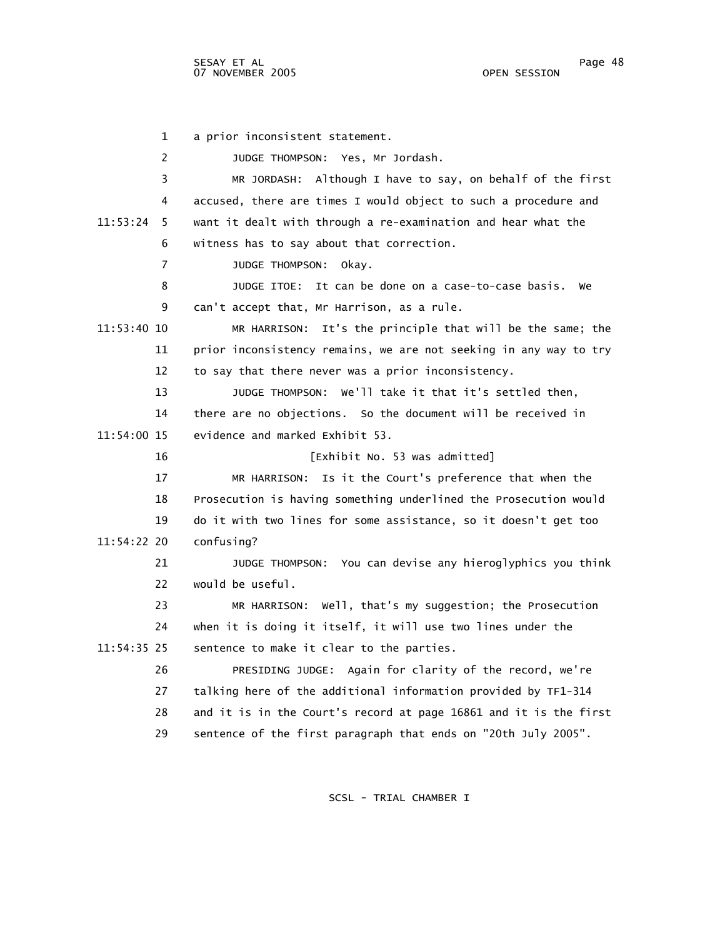1 a prior inconsistent statement. 2 JUDGE THOMPSON: Yes, Mr Jordash. 3 MR JORDASH: Although I have to say, on behalf of the first 4 accused, there are times I would object to such a procedure and 11:53:24 5 want it dealt with through a re-examination and hear what the 6 witness has to say about that correction. 7 JUDGE THOMPSON: Okay. 8 JUDGE ITOE: It can be done on a case-to-case basis. We 9 can't accept that, Mr Harrison, as a rule. 11:53:40 10 MR HARRISON: It's the principle that will be the same; the 11 prior inconsistency remains, we are not seeking in any way to try 12 to say that there never was a prior inconsistency. 13 JUDGE THOMPSON: We'll take it that it's settled then, 14 there are no objections. So the document will be received in 11:54:00 15 evidence and marked Exhibit 53. 16 [Exhibit No. 53 was admitted] 17 MR HARRISON: Is it the Court's preference that when the 18 Prosecution is having something underlined the Prosecution would 19 do it with two lines for some assistance, so it doesn't get too 11:54:22 20 confusing? 21 JUDGE THOMPSON: You can devise any hieroglyphics you think 22 would be useful. 23 MR HARRISON: Well, that's my suggestion; the Prosecution 24 when it is doing it itself, it will use two lines under the 11:54:35 25 sentence to make it clear to the parties. 26 PRESIDING JUDGE: Again for clarity of the record, we're 27 talking here of the additional information provided by TF1-314 28 and it is in the Court's record at page 16861 and it is the first 29 sentence of the first paragraph that ends on "20th July 2005".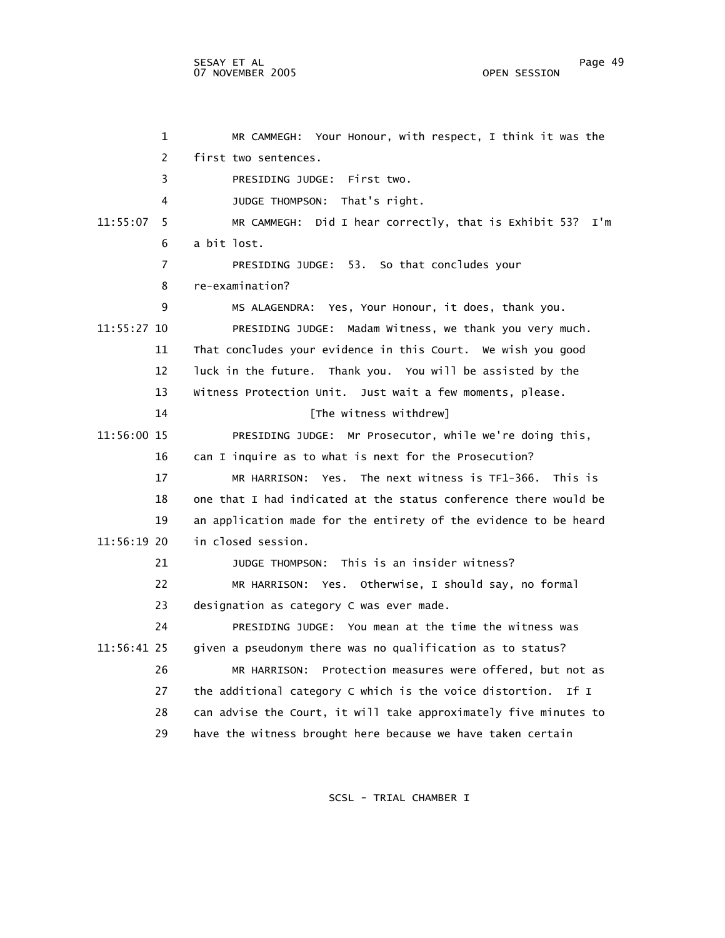1 MR CAMMEGH: Your Honour, with respect, I think it was the 2 first two sentences. 3 PRESIDING JUDGE: First two. 4 JUDGE THOMPSON: That's right. 11:55:07 5 MR CAMMEGH: Did I hear correctly, that is Exhibit 53? I'm 6 a bit lost. 7 PRESIDING JUDGE: 53. So that concludes your 8 re-examination? 9 MS ALAGENDRA: Yes, Your Honour, it does, thank you. 11:55:27 10 PRESIDING JUDGE: Madam Witness, we thank you very much. 11 That concludes your evidence in this Court. We wish you good 12 luck in the future. Thank you. You will be assisted by the 13 Witness Protection Unit. Just wait a few moments, please. 14 **Interval** [The witness withdrew] 11:56:00 15 PRESIDING JUDGE: Mr Prosecutor, while we're doing this, 16 can I inquire as to what is next for the Prosecution? 17 MR HARRISON: Yes. The next witness is TF1-366. This is 18 one that I had indicated at the status conference there would be 19 an application made for the entirety of the evidence to be heard 11:56:19 20 in closed session. 21 JUDGE THOMPSON: This is an insider witness? 22 MR HARRISON: Yes. Otherwise, I should say, no formal 23 designation as category C was ever made. 24 PRESIDING JUDGE: You mean at the time the witness was 11:56:41 25 given a pseudonym there was no qualification as to status? 26 MR HARRISON: Protection measures were offered, but not as 27 the additional category C which is the voice distortion. If I 28 can advise the Court, it will take approximately five minutes to 29 have the witness brought here because we have taken certain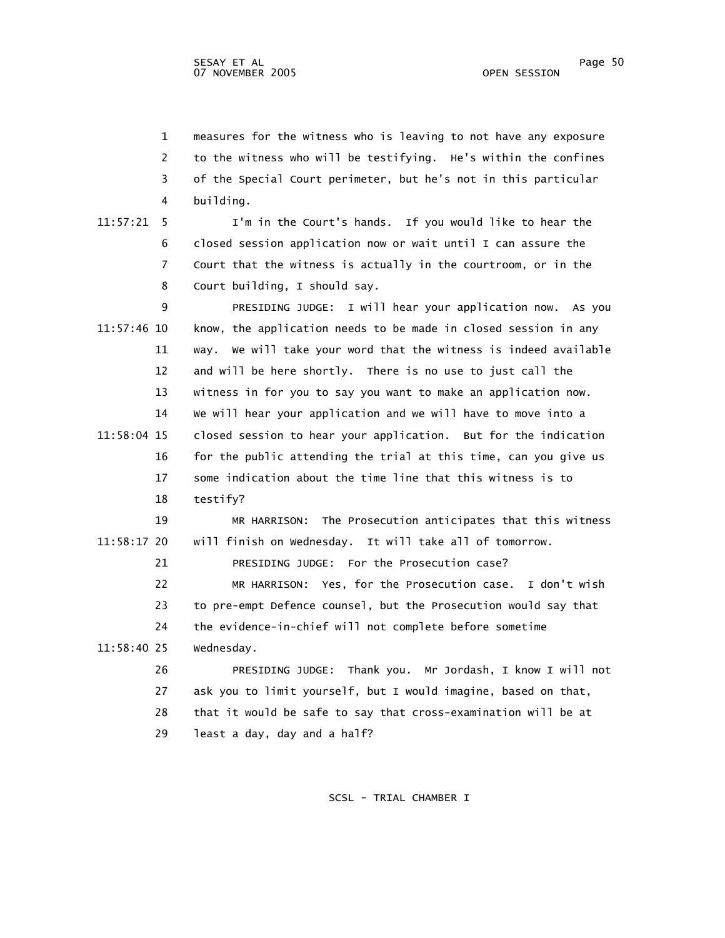1 measures for the witness who is leaving to not have any exposure 2 to the witness who will be testifying. He's within the confines 3 of the Special Court perimeter, but he's not in this particular 4 building.

 11:57:21 5 I'm in the Court's hands. If you would like to hear the 6 closed session application now or wait until I can assure the 7 Court that the witness is actually in the courtroom, or in the 8 Court building, I should say.

 9 PRESIDING JUDGE: I will hear your application now. As you 11:57:46 10 know, the application needs to be made in closed session in any 11 way. We will take your word that the witness is indeed available 12 and will be here shortly. There is no use to just call the 13 witness in for you to say you want to make an application now. 14 We will hear your application and we will have to move into a 11:58:04 15 closed session to hear your application. But for the indication 16 for the public attending the trial at this time, can you give us 17 some indication about the time line that this witness is to 18 testify?

 19 MR HARRISON: The Prosecution anticipates that this witness 11:58:17 20 will finish on Wednesday. It will take all of tomorrow.

21 PRESIDING JUDGE: For the Prosecution case?

 22 MR HARRISON: Yes, for the Prosecution case. I don't wish 23 to pre-empt Defence counsel, but the Prosecution would say that 24 the evidence-in-chief will not complete before sometime 11:58:40 25 Wednesday.

 26 PRESIDING JUDGE: Thank you. Mr Jordash, I know I will not 27 ask you to limit yourself, but I would imagine, based on that, 28 that it would be safe to say that cross-examination will be at 29 least a day, day and a half?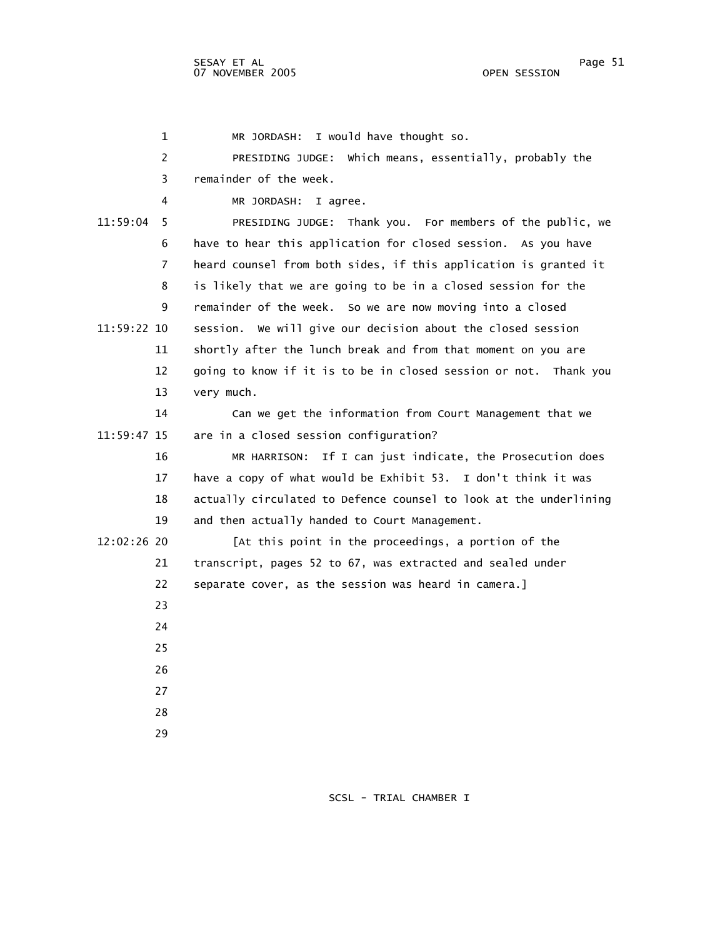1 MR JORDASH: I would have thought so. 2 PRESIDING JUDGE: Which means, essentially, probably the 3 remainder of the week. 4 MR JORDASH: I agree. 11:59:04 5 PRESIDING JUDGE: Thank you. For members of the public, we 6 have to hear this application for closed session. As you have 7 heard counsel from both sides, if this application is granted it 8 is likely that we are going to be in a closed session for the 9 remainder of the week. So we are now moving into a closed 11:59:22 10 session. We will give our decision about the closed session 11 shortly after the lunch break and from that moment on you are 12 going to know if it is to be in closed session or not. Thank you 13 very much. 14 Can we get the information from Court Management that we 11:59:47 15 are in a closed session configuration? 16 MR HARRISON: If I can just indicate, the Prosecution does 17 have a copy of what would be Exhibit 53. I don't think it was 18 actually circulated to Defence counsel to look at the underlining 19 and then actually handed to Court Management. 12:02:26 20 [At this point in the proceedings, a portion of the 21 transcript, pages 52 to 67, was extracted and sealed under 22 separate cover, as the session was heard in camera.] 23 24 25 26 27 28 29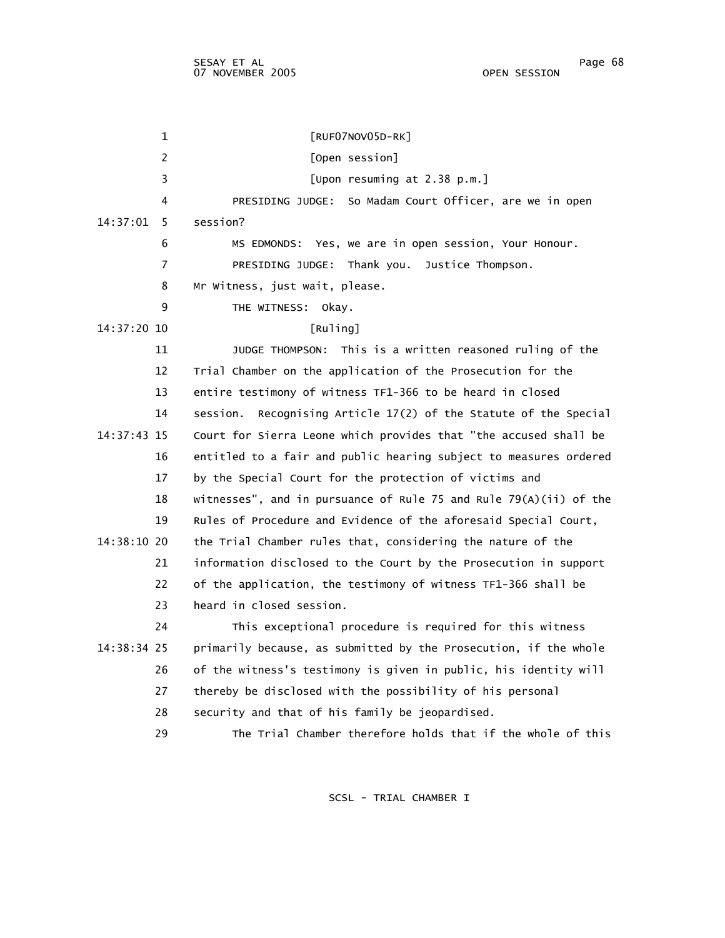1 [RUF07NOV05D-RK] 2 [Open session] 3 [Upon resuming at 2.38 p.m.] 4 PRESIDING JUDGE: So Madam Court Officer, are we in open 14:37:01 5 session? 6 MS EDMONDS: Yes, we are in open session, Your Honour. 7 PRESIDING JUDGE: Thank you. Justice Thompson. 8 Mr Witness, just wait, please. 9 THE WITNESS: Okay. 14:37:20 10 [Ruling] 11 JUDGE THOMPSON: This is a written reasoned ruling of the 12 Trial Chamber on the application of the Prosecution for the 13 entire testimony of witness TF1-366 to be heard in closed 14 session. Recognising Article 17(2) of the Statute of the Special 14:37:43 15 Court for Sierra Leone which provides that "the accused shall be 16 entitled to a fair and public hearing subject to measures ordered 17 by the Special Court for the protection of victims and 18 witnesses", and in pursuance of Rule 75 and Rule 79(A)(ii) of the 19 Rules of Procedure and Evidence of the aforesaid Special Court, 14:38:10 20 the Trial Chamber rules that, considering the nature of the 21 information disclosed to the Court by the Prosecution in support 22 of the application, the testimony of witness TF1-366 shall be 23 heard in closed session. 24 This exceptional procedure is required for this witness 14:38:34 25 primarily because, as submitted by the Prosecution, if the whole 26 of the witness's testimony is given in public, his identity will 27 thereby be disclosed with the possibility of his personal 28 security and that of his family be jeopardised. 29 The Trial Chamber therefore holds that if the whole of this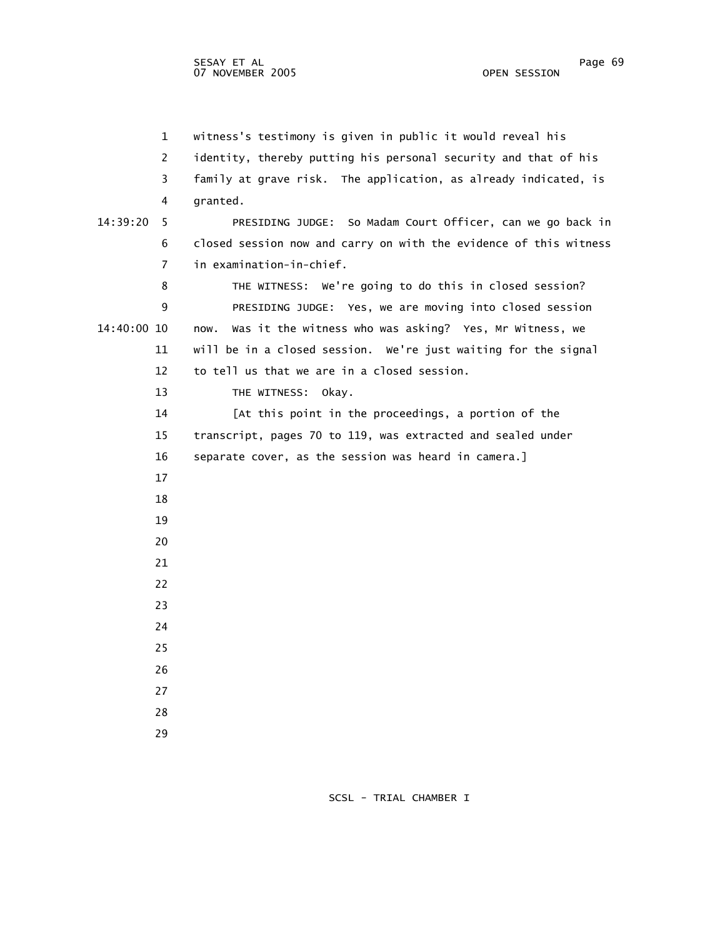1 witness's testimony is given in public it would reveal his 2 identity, thereby putting his personal security and that of his 3 family at grave risk. The application, as already indicated, is 4 granted. 14:39:20 5 PRESIDING JUDGE: So Madam Court Officer, can we go back in 6 closed session now and carry on with the evidence of this witness 7 in examination-in-chief. 8 THE WITNESS: We're going to do this in closed session? 9 PRESIDING JUDGE: Yes, we are moving into closed session 14:40:00 10 now. Was it the witness who was asking? Yes, Mr Witness, we 11 will be in a closed session. We're just waiting for the signal 12 to tell us that we are in a closed session. 13 THE WITNESS: Okay. 14 [At this point in the proceedings, a portion of the 15 transcript, pages 70 to 119, was extracted and sealed under 16 separate cover, as the session was heard in camera.] 17 18 19 20 21 22 23 24 25 26 27 28 29